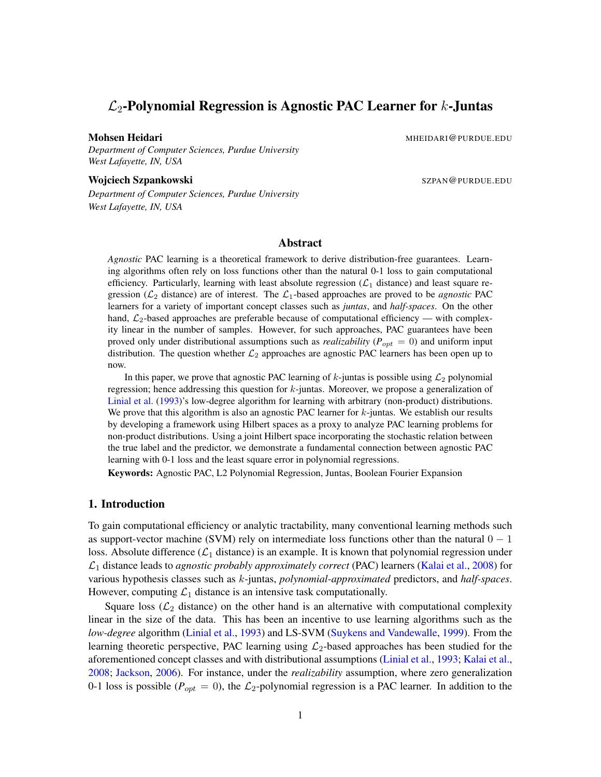# $\mathcal{L}_2$ -Polynomial Regression is Agnostic PAC Learner for k-Juntas

Mohsen Heidari Mahammad Musik di Kabupaten Musik di Musik di Musik di Musik di Musik di Musik di Musik di Musi

*Department of Computer Sciences, Purdue University West Lafayette, IN, USA*

Wojciech Szpankowski Szpankowski Szpankowski Szpankowski Szpankowski Szpankowski Szpankowski Szpankowski Szpan

*Department of Computer Sciences, Purdue University West Lafayette, IN, USA*

### Abstract

*Agnostic* PAC learning is a theoretical framework to derive distribution-free guarantees. Learning algorithms often rely on loss functions other than the natural 0-1 loss to gain computational efficiency. Particularly, learning with least absolute regression  $(\mathcal{L}_1$  distance) and least square regression ( $\mathcal{L}_2$  distance) are of interest. The  $\mathcal{L}_1$ -based approaches are proved to be *agnostic* PAC learners for a variety of important concept classes such as *juntas*, and *half-spaces*. On the other hand,  $\mathcal{L}_2$ -based approaches are preferable because of computational efficiency — with complexity linear in the number of samples. However, for such approaches, PAC guarantees have been proved only under distributional assumptions such as *realizability* ( $P_{opt} = 0$ ) and uniform input distribution. The question whether  $\mathcal{L}_2$  approaches are agnostic PAC learners has been open up to now.

In this paper, we prove that agnostic PAC learning of  $k$ -juntas is possible using  $\mathcal{L}_2$  polynomial regression; hence addressing this question for  $k$ -juntas. Moreover, we propose a generalization of [Linial et al.](#page-14-0) [\(1993\)](#page-14-0)'s low-degree algorithm for learning with arbitrary (non-product) distributions. We prove that this algorithm is also an agnostic PAC learner for  $k$ -juntas. We establish our results by developing a framework using Hilbert spaces as a proxy to analyze PAC learning problems for non-product distributions. Using a joint Hilbert space incorporating the stochastic relation between the true label and the predictor, we demonstrate a fundamental connection between agnostic PAC learning with 0-1 loss and the least square error in polynomial regressions.

Keywords: Agnostic PAC, L2 Polynomial Regression, Juntas, Boolean Fourier Expansion

## <span id="page-0-0"></span>1. Introduction

To gain computational efficiency or analytic tractability, many conventional learning methods such as support-vector machine (SVM) rely on intermediate loss functions other than the natural  $0 - 1$ loss. Absolute difference  $(\mathcal{L}_1$  distance) is an example. It is known that polynomial regression under L<sup>1</sup> distance leads to *agnostic probably approximately correct* (PAC) learners [\(Kalai et al.,](#page-14-1) [2008\)](#page-14-1) for various hypothesis classes such as k-juntas, *polynomial-approximated* predictors, and *half-spaces*. However, computing  $\mathcal{L}_1$  distance is an intensive task computationally.

Square loss ( $\mathcal{L}_2$  distance) on the other hand is an alternative with computational complexity linear in the size of the data. This has been an incentive to use learning algorithms such as the *low-degree* algorithm [\(Linial et al.,](#page-14-0) [1993\)](#page-14-0) and LS-SVM [\(Suykens and Vandewalle,](#page-15-0) [1999\)](#page-15-0). From the learning theoretic perspective, PAC learning using  $\mathcal{L}_2$ -based approaches has been studied for the aforementioned concept classes and with distributional assumptions [\(Linial et al.,](#page-14-0) [1993;](#page-14-0) [Kalai et al.,](#page-14-1) [2008;](#page-14-1) [Jackson,](#page-14-2) [2006\)](#page-14-2). For instance, under the *realizability* assumption, where zero generalization 0-1 loss is possible ( $P_{opt} = 0$ ), the  $\mathcal{L}_2$ -polynomial regression is a PAC learner. In addition to the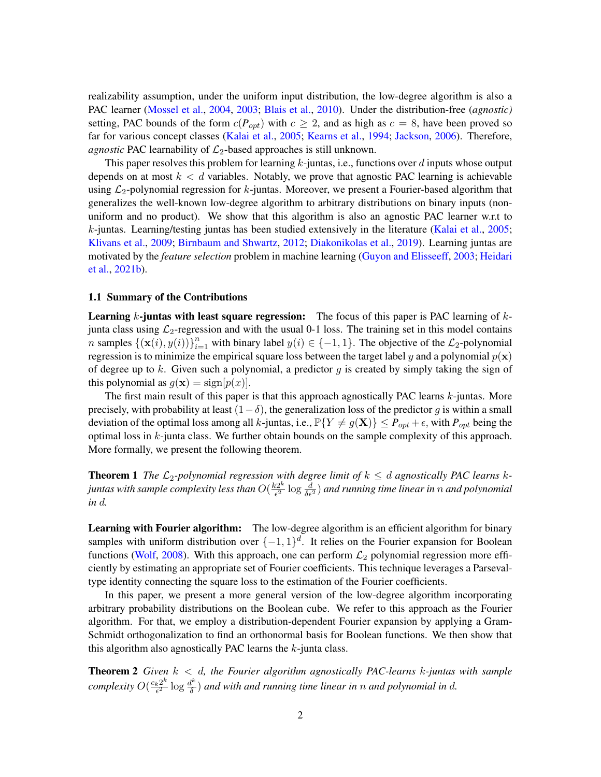realizability assumption, under the uniform input distribution, the low-degree algorithm is also a PAC learner [\(Mossel et al.,](#page-15-1) [2004,](#page-15-1) [2003;](#page-15-2) [Blais et al.,](#page-13-0) [2010\)](#page-13-0). Under the distribution-free (*agnostic)* setting, PAC bounds of the form  $c(P_{opt})$  with  $c \ge 2$ , and as high as  $c = 8$ , have been proved so far for various concept classes [\(Kalai et al.,](#page-14-3) [2005;](#page-14-3) [Kearns et al.,](#page-14-4) [1994;](#page-14-4) [Jackson,](#page-14-2) [2006\)](#page-14-2). Therefore, *agnostic* PAC learnability of  $\mathcal{L}_2$ -based approaches is still unknown.

This paper resolves this problem for learning  $k$ -juntas, i.e., functions over  $d$  inputs whose output depends on at most  $k < d$  variables. Notably, we prove that agnostic PAC learning is achievable using  $\mathcal{L}_2$ -polynomial regression for k-juntas. Moreover, we present a Fourier-based algorithm that generalizes the well-known low-degree algorithm to arbitrary distributions on binary inputs (nonuniform and no product). We show that this algorithm is also an agnostic PAC learner w.r.t to k-juntas. Learning/testing juntas has been studied extensively in the literature [\(Kalai et al.,](#page-14-3) [2005;](#page-14-3) [Klivans et al.,](#page-14-5) [2009;](#page-14-5) [Birnbaum and Shwartz,](#page-13-1) [2012;](#page-13-1) [Diakonikolas et al.,](#page-13-2) [2019\)](#page-13-2). Learning juntas are motivated by the *feature selection* problem in machine learning [\(Guyon and Elisseeff,](#page-14-6) [2003;](#page-14-6) [Heidari](#page-14-7) [et al.,](#page-14-7) [2021b\)](#page-14-7).

#### 1.1 Summary of the Contributions

**Learning k-juntas with least square regression:** The focus of this paper is PAC learning of  $k$ junta class using  $\mathcal{L}_2$ -regression and with the usual 0-1 loss. The training set in this model contains n samples  $\{(\mathbf{x}(i), y(i))\}_{i=1}^n$  with binary label  $y(i) \in \{-1, 1\}$ . The objective of the  $\mathcal{L}_2$ -polynomial regression is to minimize the empirical square loss between the target label y and a polynomial  $p(x)$ of degree up to k. Given such a polynomial, a predictor  $q$  is created by simply taking the sign of this polynomial as  $g(\mathbf{x}) = \text{sign}[p(x)]$ .

The first main result of this paper is that this approach agnostically PAC learns k-juntas. More precisely, with probability at least  $(1-\delta)$ , the generalization loss of the predictor g is within a small deviation of the optimal loss among all k-juntas, i.e.,  $\mathbb{P}{Y \neq g(\mathbf{X})} \leq P_{opt} + \epsilon$ , with  $P_{opt}$  being the optimal loss in  $k$ -junta class. We further obtain bounds on the sample complexity of this approach. More formally, we present the following theorem.

<span id="page-1-0"></span>**Theorem 1** The  $\mathcal{L}_2$ -polynomial regression with degree limit of  $k \leq d$  agnostically PAC learns kjuntas with sample complexity less than  $O(\frac{k2^k}{\epsilon^2})$  $\frac{e^{2k}}{\epsilon^2} \log \frac{d}{\delta \epsilon^2}$  ) and running time linear in  $n$  and polynomial *in* d*.*

Learning with Fourier algorithm: The low-degree algorithm is an efficient algorithm for binary samples with uniform distribution over  $\{-1,1\}^d$ . It relies on the Fourier expansion for Boolean functions [\(Wolf,](#page-15-3) [2008\)](#page-15-3). With this approach, one can perform  $\mathcal{L}_2$  polynomial regression more efficiently by estimating an appropriate set of Fourier coefficients. This technique leverages a Parsevaltype identity connecting the square loss to the estimation of the Fourier coefficients.

In this paper, we present a more general version of the low-degree algorithm incorporating arbitrary probability distributions on the Boolean cube. We refer to this approach as the Fourier algorithm. For that, we employ a distribution-dependent Fourier expansion by applying a Gram-Schmidt orthogonalization to find an orthonormal basis for Boolean functions. We then show that this algorithm also agnostically PAC learns the  $k$ -junta class.

<span id="page-1-1"></span>Theorem 2 *Given* k < d*, the Fourier algorithm agnostically PAC-learns* k*-juntas with sample complexity*  $O(\frac{c_k 2^k}{\epsilon^2})$  $\frac{k2^k}{\epsilon^2} \log \frac{d^k}{\delta}$  $\frac{d^{n}}{\delta}$ ) and with and running time linear in n and polynomial in  $d$ .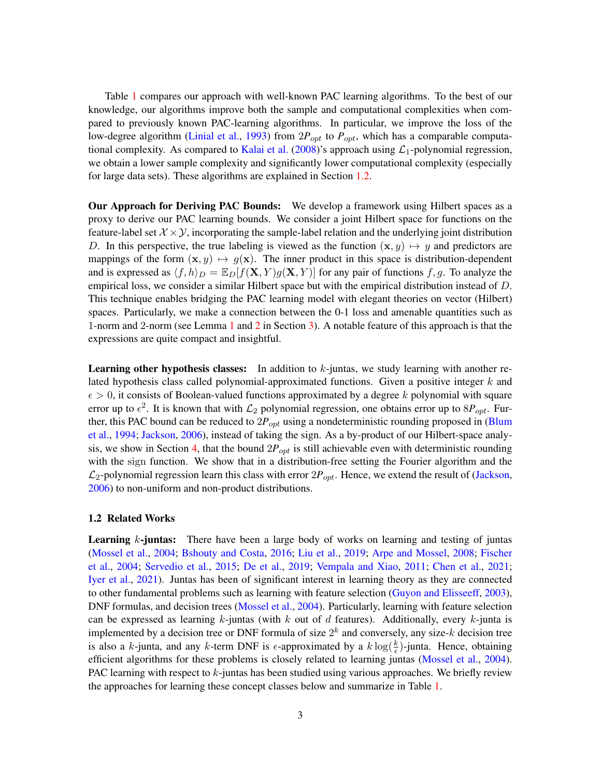Table [1](#page-3-0) compares our approach with well-known PAC learning algorithms. To the best of our knowledge, our algorithms improve both the sample and computational complexities when compared to previously known PAC-learning algorithms. In particular, we improve the loss of the low-degree algorithm [\(Linial et al.,](#page-14-0) [1993\)](#page-14-0) from  $2P_{opt}$  to  $P_{opt}$ , which has a comparable computa-tional complexity. As compared to [Kalai et al.](#page-14-1)  $(2008)$ 's approach using  $\mathcal{L}_1$ -polynomial regression, we obtain a lower sample complexity and significantly lower computational complexity (especially for large data sets). These algorithms are explained in Section [1.2.](#page-2-0)

Our Approach for Deriving PAC Bounds: We develop a framework using Hilbert spaces as a proxy to derive our PAC learning bounds. We consider a joint Hilbert space for functions on the feature-label set  $\mathcal{X} \times \mathcal{Y}$ , incorporating the sample-label relation and the underlying joint distribution D. In this perspective, the true labeling is viewed as the function  $(x, y) \mapsto y$  and predictors are mappings of the form  $(x, y) \mapsto g(x)$ . The inner product in this space is distribution-dependent and is expressed as  $\langle f, h \rangle_D = \mathbb{E}_D[f(\mathbf{X}, Y)g(\mathbf{X}, Y)]$  for any pair of functions f, g. To analyze the empirical loss, we consider a similar Hilbert space but with the empirical distribution instead of D. This technique enables bridging the PAC learning model with elegant theories on vector (Hilbert) spaces. Particularly, we make a connection between the 0-1 loss and amenable quantities such as 1-norm and 2-norm (see Lemma [1](#page-8-0) and [2](#page-9-0) in Section [3\)](#page-7-0). A notable feature of this approach is that the expressions are quite compact and insightful.

**Learning other hypothesis classes:** In addition to  $k$ -juntas, we study learning with another related hypothesis class called polynomial-approximated functions. Given a positive integer  $k$  and  $\epsilon > 0$ , it consists of Boolean-valued functions approximated by a degree k polynomial with square error up to  $\epsilon^2$ . It is known that with  $\mathcal{L}_2$  polynomial regression, one obtains error up to  $8P_{opt}$ . Further, this PAC bound can be reduced to  $2P_{opt}$  using a nondeterministic rounding proposed in [\(Blum](#page-13-3) [et al.,](#page-13-3) [1994;](#page-13-3) [Jackson,](#page-14-2) [2006\)](#page-14-2), instead of taking the sign. As a by-product of our Hilbert-space analy-sis, we show in Section [4,](#page-11-0) that the bound  $2P_{opt}$  is still achievable even with deterministic rounding with the sign function. We show that in a distribution-free setting the Fourier algorithm and the  $\mathcal{L}_2$ -polynomial regression learn this class with error  $2P_{opt}$ . Hence, we extend the result of [\(Jackson,](#page-14-2) [2006\)](#page-14-2) to non-uniform and non-product distributions.

#### <span id="page-2-0"></span>1.2 Related Works

**Learning**  $k$ **-juntas:** There have been a large body of works on learning and testing of juntas [\(Mossel et al.,](#page-15-1) [2004;](#page-15-1) [Bshouty and Costa,](#page-13-4) [2016;](#page-13-4) [Liu et al.,](#page-14-8) [2019;](#page-14-8) [Arpe and Mossel,](#page-13-5) [2008;](#page-13-5) [Fischer](#page-13-6) [et al.,](#page-13-6) [2004;](#page-13-6) [Servedio et al.,](#page-15-4) [2015;](#page-15-4) [De et al.,](#page-13-7) [2019;](#page-13-7) [Vempala and Xiao,](#page-15-5) [2011;](#page-15-5) [Chen et al.,](#page-13-8) [2021;](#page-13-8) [Iyer et al.,](#page-14-9) [2021\)](#page-14-9). Juntas has been of significant interest in learning theory as they are connected to other fundamental problems such as learning with feature selection [\(Guyon and Elisseeff,](#page-14-6) [2003\)](#page-14-6), DNF formulas, and decision trees [\(Mossel et al.,](#page-15-1) [2004\)](#page-15-1). Particularly, learning with feature selection can be expressed as learning k-juntas (with k out of d features). Additionally, every k-junta is implemented by a decision tree or DNF formula of size  $2^k$  and conversely, any size-k decision tree is also a k-junta, and any k-term DNF is  $\epsilon$ -approximated by a  $k \log(\frac{k}{\epsilon})$ -junta. Hence, obtaining efficient algorithms for these problems is closely related to learning juntas [\(Mossel et al.,](#page-15-1) [2004\)](#page-15-1). PAC learning with respect to  $k$ -juntas has been studied using various approaches. We briefly review the approaches for learning these concept classes below and summarize in Table [1.](#page-3-0)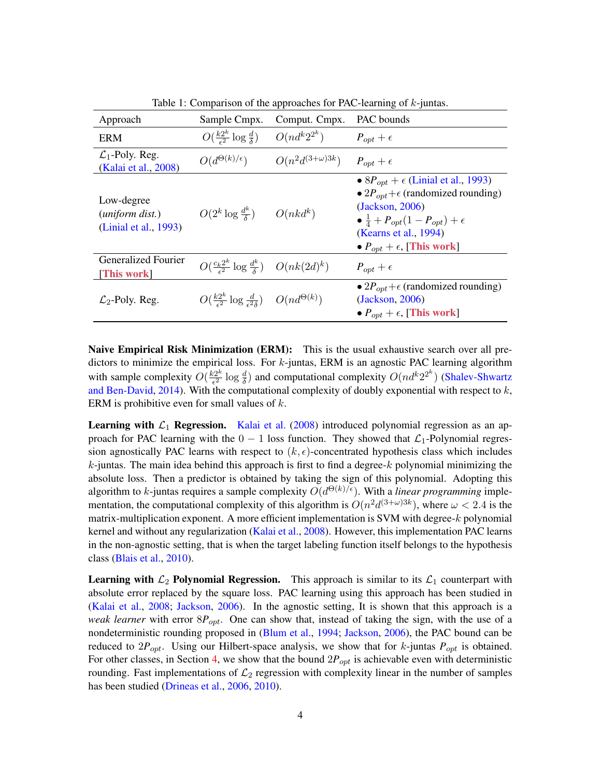<span id="page-3-0"></span>

| Approach                                                        | Sample Cmpx.                                                          | Comput. Cmpx.            | PAC bounds                                                                                                                                                                                                                                    |
|-----------------------------------------------------------------|-----------------------------------------------------------------------|--------------------------|-----------------------------------------------------------------------------------------------------------------------------------------------------------------------------------------------------------------------------------------------|
| <b>ERM</b>                                                      | $O(\frac{k2^k}{\epsilon^2} \log \frac{d}{\delta})$                    | $O(nd^k2^{2^k})$         | $P_{opt} + \epsilon$                                                                                                                                                                                                                          |
| $\mathcal{L}_1$ -Poly. Reg.<br>(Kalai et al., 2008)             | $O(d^{\Theta(k)/\epsilon})$                                           | $O(n^2d^{(3+\omega)3k})$ | $P_{opt} + \epsilon$                                                                                                                                                                                                                          |
| Low-degree<br>( <i>uniform dist.</i> )<br>(Linial et al., 1993) | $O(2^k \log \frac{d^k}{\delta})$ $O(nk d^k)$                          |                          | • $8P_{opt}$ + $\epsilon$ (Linial et al., 1993)<br>• $2P_{opt}+\epsilon$ (randomized rounding)<br>(Jackson, 2006)<br>$\bullet \frac{1}{4} + P_{opt}(1 - P_{opt}) + \epsilon$<br>(Kearns et al., 1994)<br>• $P_{opt} + \epsilon$ , [This work] |
| Generalized Fourier<br>[This work]                              | $O(\frac{c_k 2^k}{\epsilon^2} \log \frac{d^k}{\delta})$ $O(nk(2d)^k)$ |                          | $P_{opt} + \epsilon$                                                                                                                                                                                                                          |
| $\mathcal{L}_2$ -Poly. Reg.                                     | $O(\frac{k2^k}{c^2} \log \frac{d}{c^2\delta})$ $O(nd^{\Theta(k)})$    |                          | • $2P_{opt}+\epsilon$ (randomized rounding)<br>(Jackson, 2006)<br>• $P_{opt} + \epsilon$ , [This work]                                                                                                                                        |

Table 1: Comparison of the approaches for PAC-learning of  $k$ -juntas.

Naive Empirical Risk Minimization (ERM): This is the usual exhaustive search over all predictors to minimize the empirical loss. For  $k$ -juntas, ERM is an agnostic PAC learning algorithm with sample complexity  $O(\frac{k2^k}{\epsilon^2})$  $\frac{e^{2k}}{\epsilon^2} \log \frac{d}{\delta}$ ) and computational complexity  $O(nd^k 2^{2k})$  [\(Shalev-Shwartz](#page-15-6) [and Ben-David,](#page-15-6) [2014\)](#page-15-6). With the computational complexity of doubly exponential with respect to  $k$ , ERM is prohibitive even for small values of  $k$ .

**Learning with**  $\mathcal{L}_1$  **Regression.** [Kalai et al.](#page-14-1) [\(2008\)](#page-14-1) introduced polynomial regression as an approach for PAC learning with the  $0 - 1$  loss function. They showed that  $\mathcal{L}_1$ -Polynomial regression agnostically PAC learns with respect to  $(k, \epsilon)$ -concentrated hypothesis class which includes  $k$ -juntas. The main idea behind this approach is first to find a degree- $k$  polynomial minimizing the absolute loss. Then a predictor is obtained by taking the sign of this polynomial. Adopting this algorithm to k-juntas requires a sample complexity  $O(d^{\Theta(k)/\epsilon})$ . With a *linear programming* implementation, the computational complexity of this algorithm is  $O(n^2 d^{(3+\omega)3k})$ , where  $\omega < 2.4$  is the matrix-multiplication exponent. A more efficient implementation is SVM with degree- $k$  polynomial kernel and without any regularization [\(Kalai et al.,](#page-14-1) [2008\)](#page-14-1). However, this implementation PAC learns in the non-agnostic setting, that is when the target labeling function itself belongs to the hypothesis class [\(Blais et al.,](#page-13-0) [2010\)](#page-13-0).

**Learning with**  $\mathcal{L}_2$  **Polynomial Regression.** This approach is similar to its  $\mathcal{L}_1$  counterpart with absolute error replaced by the square loss. PAC learning using this approach has been studied in [\(Kalai et al.,](#page-14-1) [2008;](#page-14-1) [Jackson,](#page-14-2) [2006\)](#page-14-2). In the agnostic setting, It is shown that this approach is a *weak learner* with error  $8P_{opt}$ . One can show that, instead of taking the sign, with the use of a nondeterministic rounding proposed in [\(Blum et al.,](#page-13-3) [1994;](#page-13-3) [Jackson,](#page-14-2) [2006\)](#page-14-2), the PAC bound can be reduced to  $2P_{opt}$ . Using our Hilbert-space analysis, we show that for k-juntas  $P_{opt}$  is obtained. For other classes, in Section [4,](#page-11-0) we show that the bound  $2P_{opt}$  is achievable even with deterministic rounding. Fast implementations of  $\mathcal{L}_2$  regression with complexity linear in the number of samples has been studied [\(Drineas et al.,](#page-13-9) [2006,](#page-13-9) [2010\)](#page-13-10).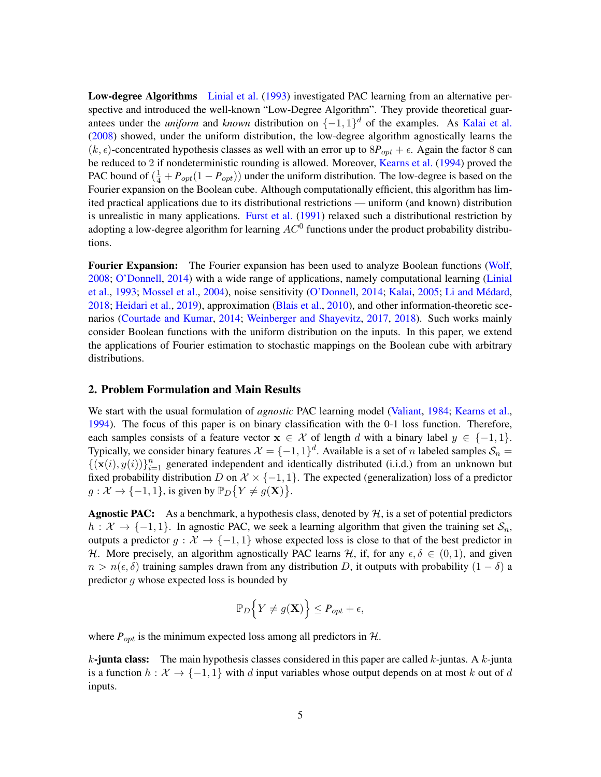Low-degree Algorithms [Linial et al.](#page-14-0) [\(1993\)](#page-14-0) investigated PAC learning from an alternative perspective and introduced the well-known "Low-Degree Algorithm". They provide theoretical guarantees under the *uniform* and *known* distribution on  $\{-1, 1\}^d$  of the examples. As [Kalai et al.](#page-14-1) [\(2008\)](#page-14-1) showed, under the uniform distribution, the low-degree algorithm agnostically learns the  $(k, \epsilon)$ -concentrated hypothesis classes as well with an error up to  $8P_{opt} + \epsilon$ . Again the factor 8 can be reduced to 2 if nondeterministic rounding is allowed. Moreover, [Kearns et al.](#page-14-4) [\(1994\)](#page-14-4) proved the PAC bound of  $(\frac{1}{4} + P_{opt}(1 - P_{opt}))$  under the uniform distribution. The low-degree is based on the Fourier expansion on the Boolean cube. Although computationally efficient, this algorithm has limited practical applications due to its distributional restrictions — uniform (and known) distribution is unrealistic in many applications. [Furst et al.](#page-13-11) [\(1991\)](#page-13-11) relaxed such a distributional restriction by adopting a low-degree algorithm for learning  $AC^0$  functions under the product probability distributions.

**Fourier Expansion:** The Fourier expansion has been used to analyze Boolean functions [\(Wolf,](#page-15-3) [2008;](#page-15-3) [O'Donnell,](#page-15-7) [2014\)](#page-15-7) with a wide range of applications, namely computational learning [\(Linial](#page-14-0) [et al.,](#page-14-0) [1993;](#page-14-0) [Mossel et al.,](#page-15-1) [2004\)](#page-15-1), noise sensitivity [\(O'Donnell,](#page-15-7) [2014;](#page-15-7) [Kalai,](#page-14-10) [2005;](#page-14-10) Li and Médard, [2018;](#page-14-11) [Heidari et al.,](#page-14-12) [2019\)](#page-14-12), approximation [\(Blais et al.,](#page-13-0) [2010\)](#page-13-0), and other information-theoretic scenarios [\(Courtade and Kumar,](#page-13-12) [2014;](#page-13-12) [Weinberger and Shayevitz,](#page-15-8) [2017,](#page-15-8) [2018\)](#page-15-9). Such works mainly consider Boolean functions with the uniform distribution on the inputs. In this paper, we extend the applications of Fourier estimation to stochastic mappings on the Boolean cube with arbitrary distributions.

### <span id="page-4-0"></span>2. Problem Formulation and Main Results

We start with the usual formulation of *agnostic* PAC learning model [\(Valiant,](#page-15-10) [1984;](#page-15-10) [Kearns et al.,](#page-14-4) [1994\)](#page-14-4). The focus of this paper is on binary classification with the 0-1 loss function. Therefore, each samples consists of a feature vector  $x \in \mathcal{X}$  of length d with a binary label  $y \in \{-1, 1\}$ . Typically, we consider binary features  $\mathcal{X} = \{-1,1\}^d$ . Available is a set of n labeled samples  $\mathcal{S}_n$  =  $\{(\mathbf{x}(i), y(i))\}_{i=1}^n$  generated independent and identically distributed (i.i.d.) from an unknown but fixed probability distribution D on  $\mathcal{X} \times \{-1, 1\}$ . The expected (generalization) loss of a predictor  $g: \mathcal{X} \to \{-1, 1\}$ , is given by  $\mathbb{P}_D\{Y \neq g(\mathbf{X})\}.$ 

**Agnostic PAC:** As a benchmark, a hypothesis class, denoted by  $H$ , is a set of potential predictors  $h : \mathcal{X} \to \{-1, 1\}$ . In agnostic PAC, we seek a learning algorithm that given the training set  $\mathcal{S}_n$ , outputs a predictor  $q : \mathcal{X} \to \{-1, 1\}$  whose expected loss is close to that of the best predictor in H. More precisely, an algorithm agnostically PAC learns H, if, for any  $\epsilon, \delta \in (0, 1)$ , and given  $n > n(\epsilon, \delta)$  training samples drawn from any distribution D, it outputs with probability  $(1 - \delta)$  a predictor g whose expected loss is bounded by

$$
\mathbb{P}_D\Big\{Y\neq g(\mathbf{X})\Big\}\leq P_{opt}+\epsilon,
$$

where  $P_{opt}$  is the minimum expected loss among all predictors in  $H$ .

k-junta class: The main hypothesis classes considered in this paper are called  $k$ -juntas. A  $k$ -junta is a function  $h : \mathcal{X} \to \{-1,1\}$  with d input variables whose output depends on at most k out of d inputs.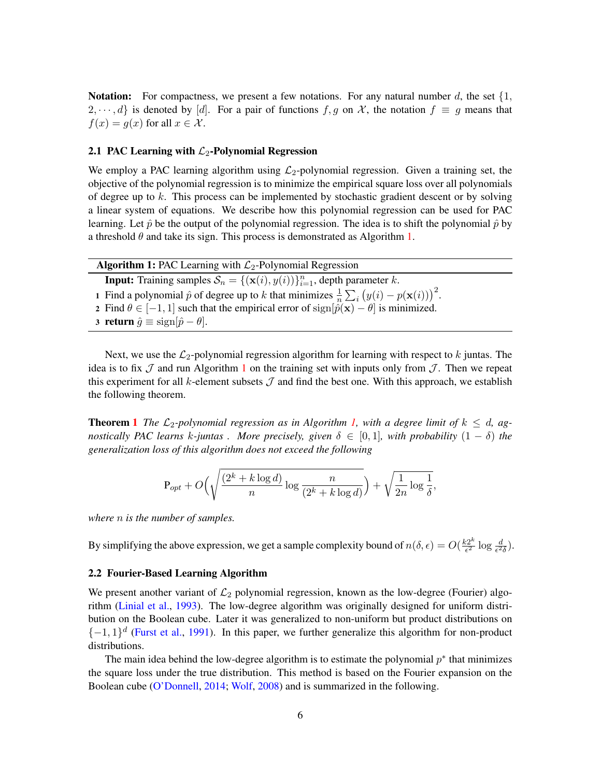**Notation:** For compactness, we present a few notations. For any natural number d, the set  $\{1,$  $2, \dots, d$  is denoted by [d]. For a pair of functions f, g on X, the notation  $f \equiv g$  means that  $f(x) = g(x)$  for all  $x \in \mathcal{X}$ .

### 2.1 PAC Learning with  $\mathcal{L}_2$ -Polynomial Regression

We employ a PAC learning algorithm using  $\mathcal{L}_2$ -polynomial regression. Given a training set, the objective of the polynomial regression is to minimize the empirical square loss over all polynomials of degree up to  $k$ . This process can be implemented by stochastic gradient descent or by solving a linear system of equations. We describe how this polynomial regression can be used for PAC learning. Let  $\hat{p}$  be the output of the polynomial regression. The idea is to shift the polynomial  $\hat{p}$  by a threshold  $\theta$  and take its sign. This process is demonstrated as Algorithm [1.](#page-5-0)

<span id="page-5-0"></span>

| <b>Algorithm 1:</b> PAC Learning with $\mathcal{L}_2$ -Polynomial Regression                                      |  |  |
|-------------------------------------------------------------------------------------------------------------------|--|--|
| <b>Input:</b> Training samples $S_n = \{(\mathbf{x}(i), y(i))\}_{i=1}^n$ , depth parameter k.                     |  |  |
| 1 Find a polynomial $\hat{p}$ of degree up to k that minimizes $\frac{1}{n} \sum_i (y(i) - p(\mathbf{x}(i)))^2$ . |  |  |
| 2 Find $\theta \in [-1, 1]$ such that the empirical error of $sign[\hat{p}(\mathbf{x}) - \theta]$ is minimized.   |  |  |
| 3 return $\hat{g} \equiv \text{sign}[\hat{p} - \theta]$ .                                                         |  |  |

Next, we use the  $\mathcal{L}_2$ -polynomial regression algorithm for learning with respect to k juntas. The idea is to fix  $\mathcal J$  and run Algorithm [1](#page-5-0) on the training set with inputs only from  $\mathcal J$ . Then we repeat this experiment for all k-element subsets  $\mathcal J$  and find the best one. With this approach, we establish the following theorem.

**Theorem [1](#page-1-0)** The  $\mathcal{L}_2$ -polynomial regression as in Algorithm [1,](#page-5-0) with a degree limit of  $k \leq d$ , ag*nostically PAC learns k-juntas . More precisely, given*  $\delta \in [0,1]$ *, with probability*  $(1 - \delta)$  *the generalization loss of this algorithm does not exceed the following*

$$
\mathbf{P}_{opt} + O\Big(\sqrt{\frac{(2^k + k \log d)}{n} \log \frac{n}{(2^k + k \log d)}}\Big) + \sqrt{\frac{1}{2n} \log \frac{1}{\delta}},
$$

*where* n *is the number of samples.*

By simplifying the above expression, we get a sample complexity bound of  $n(\delta, \epsilon) = O(\frac{k2^k}{\epsilon^2})$  $rac{c2^k}{\epsilon^2} \log \frac{d}{\epsilon^2 \delta}$ ).

### 2.2 Fourier-Based Learning Algorithm

We present another variant of  $\mathcal{L}_2$  polynomial regression, known as the low-degree (Fourier) algorithm [\(Linial et al.,](#page-14-0) [1993\)](#page-14-0). The low-degree algorithm was originally designed for uniform distribution on the Boolean cube. Later it was generalized to non-uniform but product distributions on  $\{-1,1\}$ <sup>d</sup> [\(Furst et al.,](#page-13-11) [1991\)](#page-13-11). In this paper, we further generalize this algorithm for non-product distributions.

The main idea behind the low-degree algorithm is to estimate the polynomial  $p^*$  that minimizes the square loss under the true distribution. This method is based on the Fourier expansion on the Boolean cube [\(O'Donnell,](#page-15-7) [2014;](#page-15-7) [Wolf,](#page-15-3) [2008\)](#page-15-3) and is summarized in the following.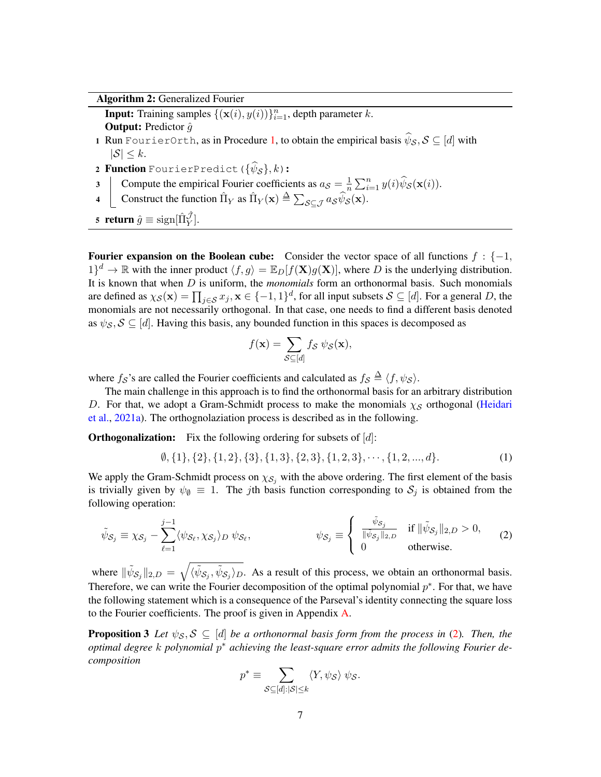Algorithm 2: Generalized Fourier

<span id="page-6-2"></span>**Input:** Training samples  $\{(\mathbf{x}(i), y(i))\}_{i=1}^n$ , depth parameter k.

**Output:** Predictor  $\hat{q}$ 

- 1 Run FourierOrth, as in Procedure [1,](#page-7-1) to obtain the empirical basis  $\psi_{\mathcal{S}}, \mathcal{S} \subseteq [d]$  with  $|S| \leq k$ .
- **2 Function** FourierPredict  $(\{\psi_{\mathcal{S}}\}, k)$ :
- 3 Compute the empirical Fourier coefficients as  $a_{\mathcal{S}} = \frac{1}{n}$  $\frac{1}{n} \sum_{i=1}^{n} y(i) \widehat{\psi}_{\mathcal{S}}(\mathbf{x}(i)).$
- 4  $\bigcup$  Construct the function  $\hat{\Pi}_Y$  as  $\hat{\Pi}_Y(\mathbf{x}) \triangleq \sum_{\mathcal{S} \subseteq \mathcal{J}} a_{\mathcal{S}} \hat{\psi}_{\mathcal{S}}(\mathbf{x}).$
- 5 return  $\hat{g} \equiv \text{sign}[\hat{\Pi}_Y^{\hat{\mathcal{J}}}]$ .

Fourier expansion on the Boolean cube: Consider the vector space of all functions  $f : \{-1,$  $1$  $^{d}$   $\rightarrow \mathbb{R}$  with the inner product  $\langle f, g \rangle = \mathbb{E}_{D}[f(\mathbf{X})g(\mathbf{X})]$ , where D is the underlying distribution. It is known that when D is uniform, the *monomials* form an orthonormal basis. Such monomials are defined as  $\chi_{\mathcal{S}}(\mathbf{x}) = \prod_{j \in \mathcal{S}} x_j, \mathbf{x} \in \{-1, 1\}^d$ , for all input subsets  $\mathcal{S} \subseteq [d]$ . For a general D, the monomials are not necessarily orthogonal. In that case, one needs to find a different basis denoted as  $\psi_{\mathcal{S}}, \mathcal{S} \subseteq [d]$ . Having this basis, any bounded function in this spaces is decomposed as

<span id="page-6-1"></span>
$$
f(\mathbf{x}) = \sum_{\mathcal{S} \subseteq [d]} f_{\mathcal{S}} \psi_{\mathcal{S}}(\mathbf{x}),
$$

where  $f_{\mathcal{S}}$ 's are called the Fourier coefficients and calculated as  $f_{\mathcal{S}} \triangleq \langle f, \psi_{\mathcal{S}} \rangle$ .

The main challenge in this approach is to find the orthonormal basis for an arbitrary distribution D. For that, we adopt a Gram-Schmidt process to make the monomials  $\chi_{\mathcal{S}}$  orthogonal [\(Heidari](#page-14-13) [et al.,](#page-14-13) [2021a\)](#page-14-13). The orthognolaziation process is described as in the following.

**Orthogonalization:** Fix the following ordering for subsets of  $[d]$ :

 $\emptyset$ , {1}, {2}, {1, 2}, {3}, {1, 3}, {2, 3}, {1, 2, 3}, · · · , {1, 2, ..., d}. (1)

We apply the Gram-Schmidt process on  $\chi_{\mathcal{S}_j}$  with the above ordering. The first element of the basis is trivially given by  $\psi_{\emptyset} \equiv 1$ . The *j*th basis function corresponding to  $S_j$  is obtained from the following operation:

$$
\tilde{\psi}_{S_j} \equiv \chi_{S_j} - \sum_{\ell=1}^{j-1} \langle \psi_{S_\ell}, \chi_{S_j} \rangle_D \, \psi_{S_\ell},
$$
\n
$$
\psi_{S_j} \equiv \begin{cases}\n\frac{\tilde{\psi}_{S_j}}{\|\tilde{\psi}_{S_j}\|_{2,D}} & \text{if } \|\tilde{\psi}_{S_j}\|_{2,D} > 0, \\
0 & \text{otherwise.} \n\end{cases}
$$
\n(2)

where  $\|\tilde{\psi}_{\mathcal{S}_j}\|_{2,D} = \sqrt{\langle \tilde{\psi}_{\mathcal{S}_j}, \tilde{\psi}_{\mathcal{S}_j} \rangle_D}$ . As a result of this process, we obtain an orthonormal basis. Therefore, we can write the Fourier decomposition of the optimal polynomial  $p^*$ . For that, we have the following statement which is a consequence of the Parseval's identity connecting the square loss to the Fourier coefficients. The proof is given in Appendix  $\bf{A}$ .

<span id="page-6-3"></span>**Proposition 3** Let  $\psi_{\mathcal{S}}, \mathcal{S} \subseteq [d]$  be a orthonormal basis form from the process in [\(2\)](#page-6-0). Then, the *optimal degree* k *polynomial* p <sup>∗</sup> *achieving the least-square error admits the following Fourier decomposition*

<span id="page-6-0"></span>
$$
p^* \equiv \sum_{\mathcal{S} \subseteq [d]: |\mathcal{S}| \leq k} \langle Y, \psi_{\mathcal{S}} \rangle \ \psi_{\mathcal{S}}.
$$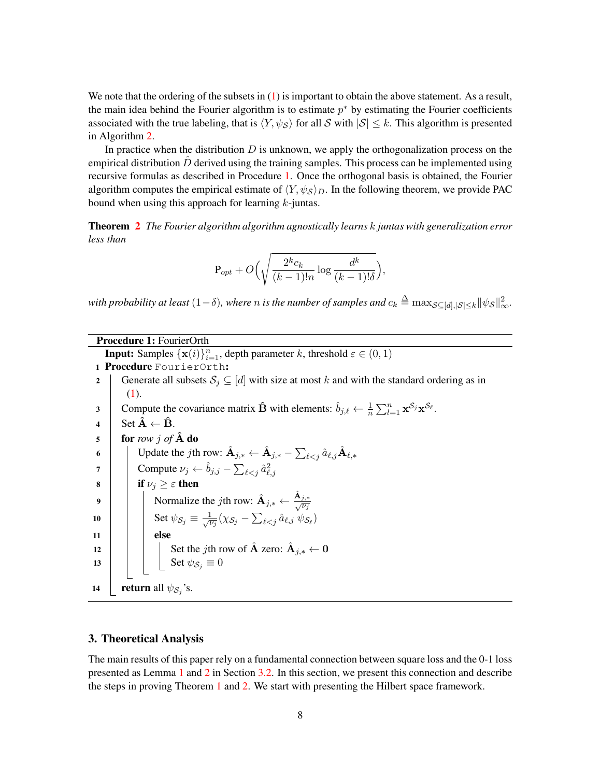We note that the ordering of the subsets in  $(1)$  is important to obtain the above statement. As a result, the main idea behind the Fourier algorithm is to estimate  $p^*$  by estimating the Fourier coefficients associated with the true labeling, that is  $\langle Y, \psi_S \rangle$  for all S with  $|S| \leq k$ . This algorithm is presented in Algorithm [2.](#page-6-2)

In practice when the distribution  $D$  is unknown, we apply the orthogonalization process on the empirical distribution  $\hat{D}$  derived using the training samples. This process can be implemented using recursive formulas as described in Procedure [1.](#page-7-1) Once the orthogonal basis is obtained, the Fourier algorithm computes the empirical estimate of  $\langle Y, \psi_{\mathcal{S}} \rangle_{D}$ . In the following theorem, we provide PAC bound when using this approach for learning  $k$ -juntas.

Theorem [2](#page-1-1) *The Fourier algorithm algorithm agnostically learns* k *juntas with generalization error less than*

$$
P_{opt} + O\left(\sqrt{\frac{2^k c_k}{(k-1)!n} \log \frac{d^k}{(k-1)!\delta}}\right),\,
$$

with probability at least  $(1-\delta)$ , where  $n$  is the number of samples and  $c_k \triangleq \max_{\mathcal{S} \subseteq [d], |\mathcal{S}| \leq k} \|\psi_{\mathcal{S}}\|_\infty^2$ .

<span id="page-7-1"></span>

| <b>Procedure 1: FourierOrth</b>                                                                                                                                        |  |  |  |
|------------------------------------------------------------------------------------------------------------------------------------------------------------------------|--|--|--|
| <b>Input:</b> Samples $\{x(i)\}_{i=1}^n$ , depth parameter k, threshold $\varepsilon \in (0,1)$                                                                        |  |  |  |
| Procedure FourierOrth:                                                                                                                                                 |  |  |  |
| Generate all subsets $S_i \subseteq [d]$ with size at most k and with the standard ordering as in<br>2                                                                 |  |  |  |
| (1).                                                                                                                                                                   |  |  |  |
| Compute the covariance matrix $\hat{\mathbf{B}}$ with elements: $\hat{b}_{j,\ell} \leftarrow \frac{1}{n} \sum_{l=1}^{n} \mathbf{x}^{S_j} \mathbf{x}^{S_{\ell}}$ .<br>3 |  |  |  |
| Set $\hat{\mathbf{A}} \leftarrow \hat{\mathbf{B}}$ .<br>$\overline{\mathbf{4}}$                                                                                        |  |  |  |
| for row j of $\hat{A}$ do<br>$\overline{\mathbf{5}}$                                                                                                                   |  |  |  |
| Update the jth row: $\mathbf{A}_{j,*} \leftarrow \mathbf{A}_{j,*} - \sum_{\ell \leq j} \hat{a}_{\ell,j} \mathbf{A}_{\ell,*}$<br>6                                      |  |  |  |
| Compute $\nu_j \leftarrow \hat{b}_{j,j} - \sum_{\ell < i} \hat{a}_{\ell,i}^2$<br>7                                                                                     |  |  |  |
| if $\nu_j \geq \varepsilon$ then<br>8                                                                                                                                  |  |  |  |
| Normalize the jth row: $\hat{A}_{j,*} \leftarrow \frac{A_{j,*}}{\sqrt{v_i}}$<br>9                                                                                      |  |  |  |
| Set $\psi_{\mathcal{S}_j} \equiv \frac{1}{\sqrt{\nu_i}} (\chi_{\mathcal{S}_j} - \sum_{\ell < j} \hat{a}_{\ell, j} \psi_{\mathcal{S}_{\ell}})$<br>10                    |  |  |  |
| else<br>11                                                                                                                                                             |  |  |  |
| 12                                                                                                                                                                     |  |  |  |
| Set the <i>j</i> th row of $\hat{A}$ zero: $\hat{A}_{j,*} \leftarrow 0$<br>Set $\psi_{\mathcal{S}_j} \equiv 0$<br>13                                                   |  |  |  |
| <b>return</b> all $\psi_{\mathcal{S}_i}$ 's.<br>14                                                                                                                     |  |  |  |

### <span id="page-7-0"></span>3. Theoretical Analysis

The main results of this paper rely on a fundamental connection between square loss and the 0-1 loss presented as Lemma [1](#page-8-0) and [2](#page-9-0) in Section [3.2.](#page-8-1) In this section, we present this connection and describe the steps in proving Theorem [1](#page-1-0) and [2.](#page-1-1) We start with presenting the Hilbert space framework.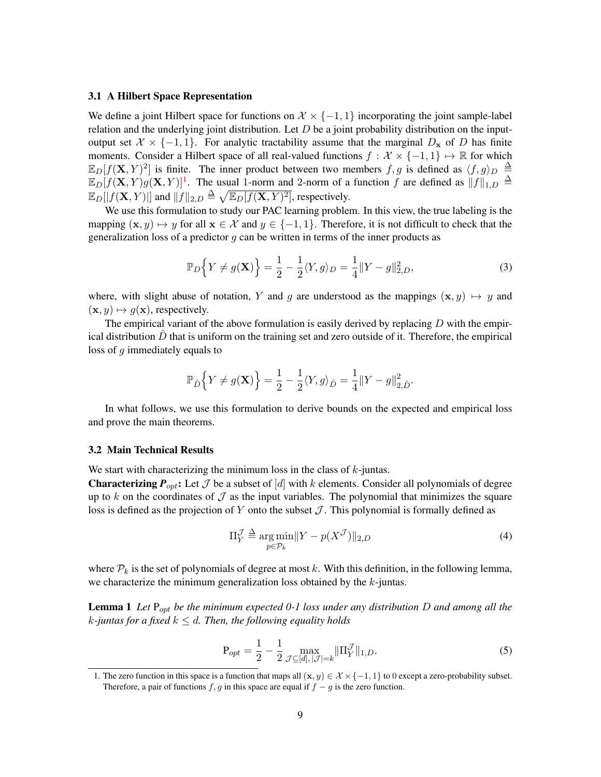#### 3.1 A Hilbert Space Representation

We define a joint Hilbert space for functions on  $\mathcal{X} \times \{-1, 1\}$  incorporating the joint sample-label relation and the underlying joint distribution. Let  $D$  be a joint probability distribution on the inputoutput set  $X \times \{-1,1\}$ . For analytic tractability assume that the marginal  $D_x$  of D has finite moments. Consider a Hilbert space of all real-valued functions  $f : \mathcal{X} \times \{-1, 1\} \mapsto \mathbb{R}$  for which  $\mathbb{E}_D[f(\mathbf{X}, Y)^2]$  is finite. The inner product between two members  $f, g$  is defined as  $\langle f, g \rangle_D \triangleq$  $\mathbb{E}_D[f(\mathbf{X}, Y)g(\mathbf{X}, Y)]^1$  $\mathbb{E}_D[f(\mathbf{X}, Y)g(\mathbf{X}, Y)]^1$ . The usual 1-norm and 2-norm of a function f are defined as  $||f||_{1,D} \triangleq$  $\mathbb{E}_D[|f(\mathbf{X}, Y)|]$  and  $||f||_{2,D} \triangleq \sqrt{\mathbb{E}_D[f(\mathbf{X}, Y)^2]}$ , respectively.

We use this formulation to study our PAC learning problem. In this view, the true labeling is the mapping  $(x, y) \mapsto y$  for all  $x \in \mathcal{X}$  and  $y \in \{-1, 1\}$ . Therefore, it is not difficult to check that the generalization loss of a predictor  $g$  can be written in terms of the inner products as

<span id="page-8-3"></span>
$$
\mathbb{P}_D\Big\{Y \neq g(\mathbf{X})\Big\} = \frac{1}{2} - \frac{1}{2}\langle Y, g \rangle_D = \frac{1}{4} ||Y - g||_{2,D}^2,\tag{3}
$$

where, with slight abuse of notation, Y and g are understood as the mappings  $(\mathbf{x}, y) \mapsto y$  and  $(\mathbf{x}, y) \mapsto q(\mathbf{x})$ , respectively.

The empirical variant of the above formulation is easily derived by replacing  $D$  with the empirical distribution  $\ddot{D}$  that is uniform on the training set and zero outside of it. Therefore, the empirical loss of  $q$  immediately equals to

$$
\mathbb{P}_{\hat{D}}\Big\{Y\neq g(\mathbf{X})\Big\}=\frac{1}{2}-\frac{1}{2}\langle Y,g\rangle_{\hat{D}}=\frac{1}{4}\|Y-g\|_{2,\hat{D}}^2.
$$

In what follows, we use this formulation to derive bounds on the expected and empirical loss and prove the main theorems.

#### <span id="page-8-1"></span>3.2 Main Technical Results

We start with characterizing the minimum loss in the class of  $k$ -juntas.

**Characterizing**  $P_{opt}$ **:** Let  $J$  be a subset of [d] with k elements. Consider all polynomials of degree up to k on the coordinates of  $\mathcal J$  as the input variables. The polynomial that minimizes the square loss is defined as the projection of Y onto the subset  $\mathcal J$ . This polynomial is formally defined as

<span id="page-8-4"></span><span id="page-8-0"></span>
$$
\Pi_Y^{\mathcal{J}} \triangleq \underset{p \in \mathcal{P}_k}{\arg \min} \| Y - p(X^{\mathcal{J}}) \|_{2,D} \tag{4}
$$

where  $P_k$  is the set of polynomials of degree at most k. With this definition, in the following lemma, we characterize the minimum generalization loss obtained by the k-juntas.

Lemma 1 *Let* Popt *be the minimum expected 0-1 loss under any distribution* D *and among all the*  $k$ -juntas for a fixed  $k \leq d$ . Then, the following equality holds

$$
P_{opt} = \frac{1}{2} - \frac{1}{2} \max_{\mathcal{J} \subseteq [d], |\mathcal{J}| = k} \|\Pi_Y^{\mathcal{J}}\|_{1, D}.
$$
 (5)

<span id="page-8-2"></span><sup>1.</sup> The zero function in this space is a function that maps all  $(\mathbf{x}, y) \in \mathcal{X} \times \{-1, 1\}$  to 0 except a zero-probability subset. Therefore, a pair of functions f, g in this space are equal if  $f - g$  is the zero function.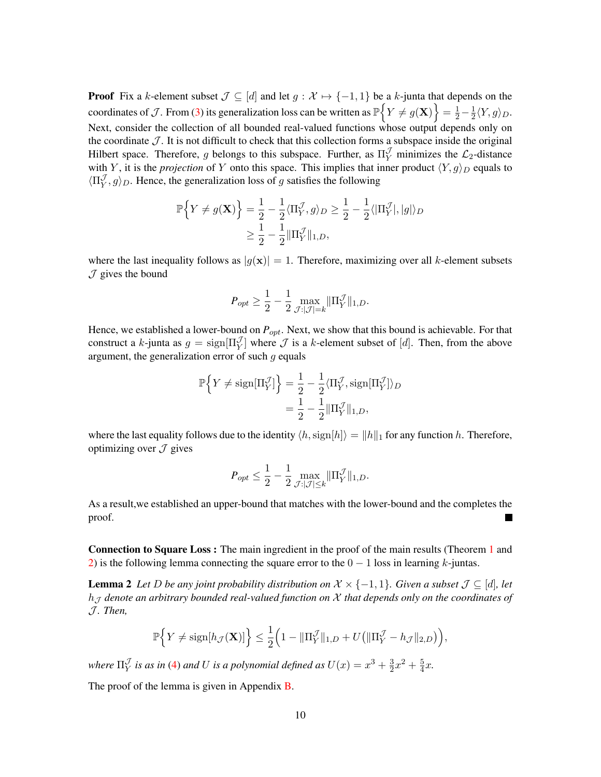**Proof** Fix a k-element subset  $\mathcal{J} \subseteq [d]$  and let  $g : \mathcal{X} \mapsto \{-1, 1\}$  be a k-junta that depends on the coordinates of  $\mathcal{J}$ . From [\(3\)](#page-8-3) its generalization loss can be written as  $\mathbb{P}\Big\{Y\neq g(\mathbf{X})\Big\}=\frac{1}{2}-\frac{1}{2}$  $\frac{1}{2}\langle Y,g\rangle_D.$ Next, consider the collection of all bounded real-valued functions whose output depends only on the coordinate  $J$ . It is not difficult to check that this collection forms a subspace inside the original Hilbert space. Therefore, g belongs to this subspace. Further, as  $\Pi_Y^{\mathcal{J}}$  minimizes the  $\mathcal{L}_2$ -distance with Y, it is the *projection* of Y onto this space. This implies that inner product  $\langle Y, g \rangle_D$  equals to  $\langle \Pi_Y^{\mathcal{J}}$  $\mathcal{Y}(y', g)_D$ . Hence, the generalization loss of g satisfies the following

$$
\mathbb{P}\Big\{Y \neq g(\mathbf{X})\Big\} = \frac{1}{2} - \frac{1}{2}\langle \Pi_Y^{\mathcal{J}}, g \rangle_D \geq \frac{1}{2} - \frac{1}{2}\langle |\Pi_Y^{\mathcal{J}}|, |g|\rangle_D
$$
  

$$
\geq \frac{1}{2} - \frac{1}{2}||\Pi_Y^{\mathcal{J}}||_{1,D},
$$

where the last inequality follows as  $|g(x)| = 1$ . Therefore, maximizing over all k-element subsets  $J$  gives the bound

$$
P_{opt} \ge \frac{1}{2} - \frac{1}{2} \max_{\mathcal{J}: |\mathcal{J}| = k} \|\Pi_Y^{\mathcal{J}}\|_{1,D}.
$$

Hence, we established a lower-bound on  $P_{opt}$ . Next, we show that this bound is achievable. For that construct a k-junta as  $g = sign[\Pi_Y^{\mathcal{J}}]$  where  $\mathcal J$  is a k-element subset of [d]. Then, from the above argument, the generalization error of such  $g$  equals

$$
\mathbb{P}\Big\{Y \neq \text{sign}[\Pi_Y^{\mathcal{J}}]\Big\} = \frac{1}{2} - \frac{1}{2}\langle \Pi_Y^{\mathcal{J}}, \text{sign}[\Pi_Y^{\mathcal{J}}] \rangle_D
$$
  
= 
$$
\frac{1}{2} - \frac{1}{2} \|\Pi_Y^{\mathcal{J}}\|_{1,D},
$$

where the last equality follows due to the identity  $\langle h, \text{sign}[h] \rangle = ||h||_1$  for any function h. Therefore, optimizing over  $\mathcal J$  gives

<span id="page-9-0"></span>
$$
P_{opt} \leq \frac{1}{2} - \frac{1}{2} \max_{\mathcal{J}: |\mathcal{J}| \leq k} \|\Pi_Y^{\mathcal{J}}\|_{1,D}.
$$

As a result,we established an upper-bound that matches with the lower-bound and the completes the proof.  $\blacksquare$ 

Connection to Square Loss : The main ingredient in the proof of the main results (Theorem [1](#page-1-0) and [2\)](#page-1-1) is the following lemma connecting the square error to the  $0 - 1$  loss in learning k-juntas.

**Lemma 2** *Let D be any joint probability distribution on*  $X \times \{-1, 1\}$ *. Given a subset*  $\mathcal{J} \subseteq [d]$ *, let*  $h<sub>J</sub>$  denote an arbitrary bounded real-valued function on  $X$  that depends only on the coordinates of J *. Then,*

$$
\mathbb{P}\Big\{Y\neq \text{sign}[h_{\mathcal{J}}(\mathbf{X})]\Big\}\leq \frac{1}{2}\Big(1-\|\Pi_Y^{\mathcal{J}}\|_{1,D}+U\big(\|\Pi_Y^{\mathcal{J}}-h_{\mathcal{J}}\|_{2,D}\big)\Big),
$$

where  $\Pi_\mathrm{Y}^\mathcal{J}$  $\frac{\mathcal{J}}{Y}$  *is as in* [\(4\)](#page-8-4) *and U is a polynomial defined as*  $U(x) = x^3 + \frac{3}{2}$  $\frac{3}{2}x^2 + \frac{5}{4}$  $\frac{5}{4}x$ .

The proof of the lemma is given in Appendix [B.](#page-4-0)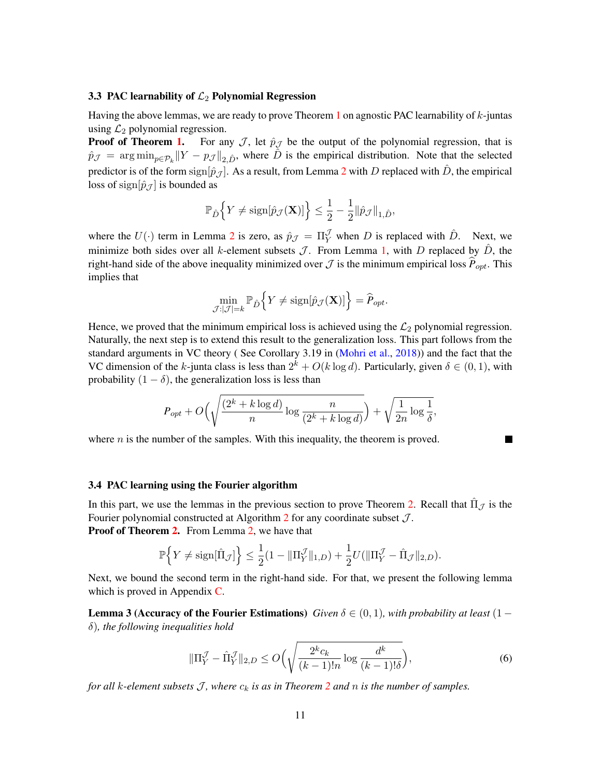### 3.3 PAC learnability of  $\mathcal{L}_2$  Polynomial Regression

Having the above lemmas, we are ready to prove Theorem [1](#page-1-0) on agnostic PAC learnability of  $k$ -juntas using  $\mathcal{L}_2$  polynomial regression.

**Proof of Theorem [1.](#page-1-0)** For any  $\mathcal{J}$ , let  $\hat{p}_{\mathcal{J}}$  be the output of the polynomial regression, that is  $\hat{p}_{\mathcal{J}} = \arg \min_{p \in \mathcal{P}_k} ||Y - p_{\mathcal{J}}||_{2,\hat{D}}$ , where  $\hat{D}$  is the empirical distribution. Note that the selected predictor is of the form sign $[\hat{p}_{\hat{J}}]$ . As a result, from Lemma [2](#page-9-0) with D replaced with  $\hat{D}$ , the empirical loss of sign $[\hat{p}_{\mathcal{J}}]$  is bounded as

$$
\mathbb{P}_{\hat{D}}\Big\{Y\neq \mathrm{sign}[\hat{p}_{\mathcal{J}}(\mathbf{X})]\Big\}\leq \frac{1}{2}-\frac{1}{2}\|\hat{p}_{\mathcal{J}}\|_{1,\hat{D}},
$$

where the  $U(\cdot)$  term in Lemma [2](#page-9-0) is zero, as  $\hat{p}_{\mathcal{J}} = \Pi_Y^{\mathcal{J}}$  when D is replaced with  $\hat{D}$ . Next, we minimize both sides over all k-element subsets  $\mathcal{J}$ . From Lemma [1,](#page-8-0) with D replaced by  $\hat{D}$ , the right-hand side of the above inequality minimized over  $\mathcal J$  is the minimum empirical loss  $\hat P_{opt}$ . This implies that

$$
\min_{\mathcal{J}:|\mathcal{J}|=k} \mathbb{P}_{\hat{D}}\Big\{Y \neq \text{sign}[\hat{p}_{\mathcal{J}}(\mathbf{X})]\Big\} = \hat{P}_{opt}.
$$

Hence, we proved that the minimum empirical loss is achieved using the  $\mathcal{L}_2$  polynomial regression. Naturally, the next step is to extend this result to the generalization loss. This part follows from the standard arguments in VC theory (See Corollary 3.19 in [\(Mohri et al.,](#page-15-11) [2018\)](#page-15-11)) and the fact that the VC dimension of the k-junta class is less than  $2^k + O(k \log d)$ . Particularly, given  $\delta \in (0, 1)$ , with probability  $(1 - \delta)$ , the generalization loss is less than

$$
P_{opt} + O\left(\sqrt{\frac{(2^k + k \log d)}{n} \log \frac{n}{(2^k + k \log d)}}\right) + \sqrt{\frac{1}{2n} \log \frac{1}{\delta}},
$$

where  $n$  is the number of the samples. With this inequality, the theorem is proved.

#### 3.4 PAC learning using the Fourier algorithm

In this part, we use the lemmas in the previous section to prove Theorem [2.](#page-1-1) Recall that  $\hat{\Pi}_{\mathcal{J}}$  is the Fourier polynomial constructed at Algorithm  $2$  for any coordinate subset  $\mathcal{J}$ . Proof of Theorem [2.](#page-1-1) From Lemma [2,](#page-9-0) we have that

$$
\mathbb{P}\Big\{Y\neq \mathrm{sign}[\hat{\Pi}_{\mathcal{J}}]\Big\}\leq \frac{1}{2}(1-\|\Pi_{Y}^{\mathcal{J}}\|_{1,D})+\frac{1}{2}U(\|\Pi_{Y}^{\mathcal{J}}-\hat{\Pi}_{\mathcal{J}}\|_{2,D}).
$$

Next, we bound the second term in the right-hand side. For that, we present the following lemma which is proved in Appendix [C.](#page-7-0)

<span id="page-10-1"></span>**Lemma 3 (Accuracy of the Fourier Estimations)** *Given*  $\delta \in (0,1)$ *, with probability at least*  $(1$ δ)*, the following inequalities hold*

<span id="page-10-0"></span>
$$
\|\Pi_Y^{\mathcal{J}} - \hat{\Pi}_Y^{\mathcal{J}}\|_{2,D} \le O\Big(\sqrt{\frac{2^k c_k}{(k-1)!n} \log \frac{d^k}{(k-1)!\delta}}\Big),\tag{6}
$$

*for all k-element subsets*  $\mathcal{J}$ *, where*  $c_k$  *is as in Theorem* [2](#page-1-1) *and*  $n$  *is the number of samples.*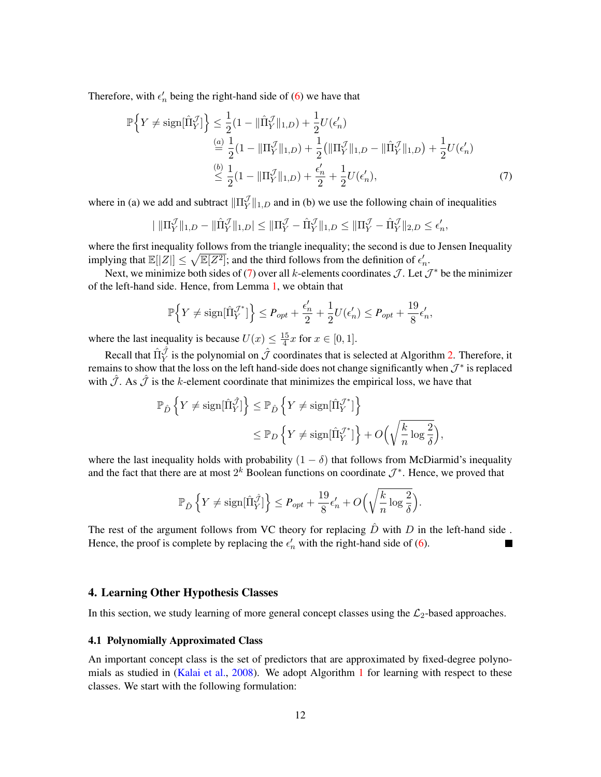Therefore, with  $\epsilon'_n$  being the right-hand side of [\(6\)](#page-10-0) we have that

$$
\mathbb{P}\Big\{Y \neq \text{sign}[\hat{\Pi}_{Y}^{\mathcal{J}}]\Big\} \leq \frac{1}{2}(1 - \|\hat{\Pi}_{Y}^{\mathcal{J}}\|_{1,D}) + \frac{1}{2}U(\epsilon'_{n})
$$
\n
$$
\stackrel{(a)}{=} \frac{1}{2}(1 - \|\Pi_{Y}^{\mathcal{J}}\|_{1,D}) + \frac{1}{2}(\|\Pi_{Y}^{\mathcal{J}}\|_{1,D} - \|\hat{\Pi}_{Y}^{\mathcal{J}}\|_{1,D}) + \frac{1}{2}U(\epsilon'_{n})
$$
\n
$$
\stackrel{(b)}{\leq} \frac{1}{2}(1 - \|\Pi_{Y}^{\mathcal{J}}\|_{1,D}) + \frac{\epsilon'_{n}}{2} + \frac{1}{2}U(\epsilon'_{n}),
$$
\n(7)

where in (a) we add and subtract  $\|\Pi_{Y}^{\mathcal{J}}\|$  $\mathcal{Y}_{Y}^{\mathcal{Y}}\Vert_{1,D}$  and in (b) we use the following chain of inequalities

$$
\|\|\Pi_Y^{\mathcal{J}}\|_{1,D} - \|\hat{\Pi}_Y^{\mathcal{J}}\|_{1,D}\| \le \|\Pi_Y^{\mathcal{J}} - \hat{\Pi}_Y^{\mathcal{J}}\|_{1,D} \le \|\Pi_Y^{\mathcal{J}} - \hat{\Pi}_Y^{\mathcal{J}}\|_{2,D} \le \epsilon'_n,
$$

where the first inequality follows from the triangle inequality; the second is due to Jensen Inequality implying that  $\mathbb{E}[|Z|] \leq \sqrt{\mathbb{E}[Z^2]}$ ; and the third follows from the definition of  $\epsilon'_n$ .

Next, we minimize both sides of [\(7\)](#page-10-0) over all k-elements coordinates  $\mathcal{J}$ . Let  $\mathcal{J}^*$  be the minimizer of the left-hand side. Hence, from Lemma [1,](#page-8-0) we obtain that

$$
\mathbb{P}\Big\{Y\neq \text{sign}[\hat{\Pi}^{\mathcal{J}^*}_Y]\Big\} \leq P_{opt} + \frac{\epsilon_n'}{2} + \frac{1}{2}U(\epsilon_n') \leq P_{opt} + \frac{19}{8}\epsilon_n',
$$

where the last inequality is because  $U(x) \leq \frac{15}{4}$  $\frac{15}{4}x$  for  $x \in [0, 1].$ 

Recall that  $\hat{\Pi}^{\hat{J}}_Y$  is the polynomial on  $\hat{J}$  coordinates that is selected at Algorithm [2.](#page-6-2) Therefore, it remains to show that the loss on the left hand-side does not change significantly when  $\mathcal{J}^*$  is replaced with  $\hat{J}$ . As  $\hat{J}$  is the k-element coordinate that minimizes the empirical loss, we have that

$$
\mathbb{P}_{\hat{D}}\left\{Y \neq \text{sign}[\hat{\Pi}_{Y}^{\hat{\mathcal{J}}}] \right\} \leq \mathbb{P}_{\hat{D}}\left\{Y \neq \text{sign}[\hat{\Pi}_{Y}^{\mathcal{J}^*}] \right\}
$$
  

$$
\leq \mathbb{P}_{D}\left\{Y \neq \text{sign}[\hat{\Pi}_{Y}^{\mathcal{J}^*}] \right\} + O\Big(\sqrt{\frac{k}{n}\log\frac{2}{\delta}}\Big),
$$

where the last inequality holds with probability  $(1 - \delta)$  that follows from McDiarmid's inequality and the fact that there are at most  $2^k$  Boolean functions on coordinate  $\mathcal{J}^*$ . Hence, we proved that

$$
\mathbb{P}_{\hat{D}}\left\{Y \neq \text{sign}[\hat{\Pi}_Y^{\hat{\mathcal{J}}}] \right\} \leq P_{opt} + \frac{19}{8}\epsilon_n' + O\left(\sqrt{\frac{k}{n}\log\frac{2}{\delta}}\right).
$$

The rest of the argument follows from VC theory for replacing  $\hat{D}$  with  $D$  in the left-hand side. Hence, the proof is complete by replacing the  $\epsilon'_n$  with the right-hand side of [\(6\)](#page-10-0).

#### <span id="page-11-0"></span>4. Learning Other Hypothesis Classes

In this section, we study learning of more general concept classes using the  $\mathcal{L}_2$ -based approaches.

#### <span id="page-11-1"></span>4.1 Polynomially Approximated Class

An important concept class is the set of predictors that are approximated by fixed-degree polynomials as studied in [\(Kalai et al.,](#page-14-1) [2008\)](#page-14-1). We adopt Algorithm [1](#page-5-0) for learning with respect to these classes. We start with the following formulation: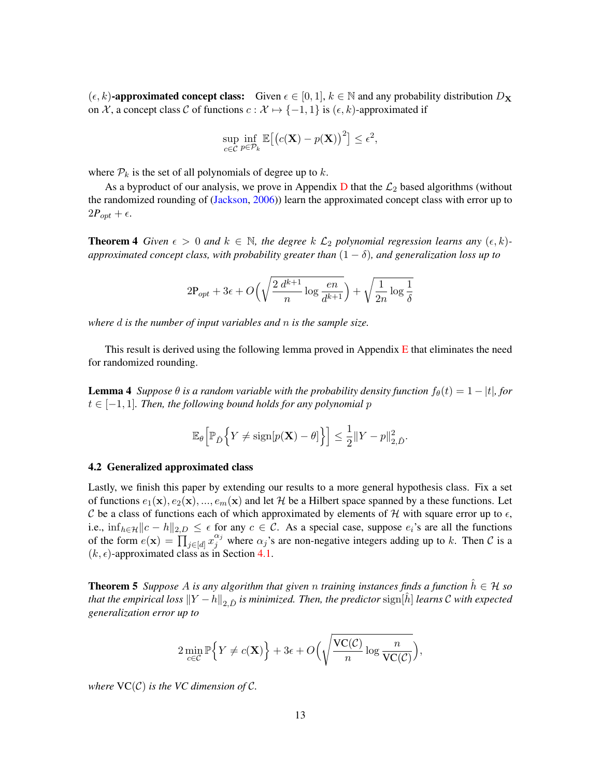$(\epsilon, k)$ -approximated concept class: Given  $\epsilon \in [0, 1]$ ,  $k \in \mathbb{N}$  and any probability distribution  $D_{\mathbf{X}}$ on X, a concept class C of functions  $c : \mathcal{X} \mapsto \{-1, 1\}$  is  $(\epsilon, k)$ -approximated if

$$
\sup_{c \in \mathcal{C}} \inf_{p \in \mathcal{P}_k} \mathbb{E}\big[\big(c(\mathbf{X}) - p(\mathbf{X})\big)^2\big] \le \epsilon^2,
$$

where  $P_k$  is the set of all polynomials of degree up to k.

<span id="page-12-0"></span>As a byproduct of our analysis, we prove in Appendix  $D$  that the  $\mathcal{L}_2$  based algorithms (without the randomized rounding of [\(Jackson,](#page-14-2) [2006\)](#page-14-2)) learn the approximated concept class with error up to  $2P_{opt} + \epsilon$ .

**Theorem 4** *Given*  $\epsilon > 0$  *and*  $k \in \mathbb{N}$ , *the degree*  $k \mathcal{L}_2$  *polynomial regression learns any*  $(\epsilon, k)$ *approximated concept class, with probability greater than*  $(1 - \delta)$ *, and generalization loss up to* 

$$
2P_{opt} + 3\epsilon + O\left(\sqrt{\frac{2 d^{k+1}}{n} \log \frac{en}{d^{k+1}}}\right) + \sqrt{\frac{1}{2n} \log \frac{1}{\delta}}
$$

*where* d *is the number of input variables and* n *is the sample size.*

This result is derived using the following lemma proved in Appendix  $E$  that eliminates the need for randomized rounding.

**Lemma 4** *Suppose*  $\theta$  *is a random variable with the probability density function*  $f_{\theta}(t) = 1 - |t|$ *, for*  $t \in [-1, 1]$ *. Then, the following bound holds for any polynomial p* 

<span id="page-12-1"></span>
$$
\mathbb{E}_{\theta}\Big[\mathbb{P}_{\hat{D}}\Big\{Y \neq \text{sign}[p(\mathbf{X}) - \theta]\Big\}\Big] \leq \frac{1}{2} \|Y - p\|_{2,\hat{D}}^2.
$$

#### 4.2 Generalized approximated class

Lastly, we finish this paper by extending our results to a more general hypothesis class. Fix a set of functions  $e_1(\mathbf{x}), e_2(\mathbf{x}), ..., e_m(\mathbf{x})$  and let H be a Hilbert space spanned by a these functions. Let C be a class of functions each of which approximated by elements of H with square error up to  $\epsilon$ , i.e.,  $\inf_{h \in \mathcal{H}} ||c - h||_{2,D} \leq \epsilon$  for any  $c \in \mathcal{C}$ . As a special case, suppose  $e_i$ 's are all the functions of the form  $e(\mathbf{x}) = \prod_{j \in [d]} x_j^{\alpha_j}$  where  $\alpha_j$ 's are non-negative integers adding up to k. Then C is a  $(k, \epsilon)$ -approximated class as in Section [4.1.](#page-11-1)

**Theorem 5** *Suppose* A *is any algorithm that given* n *training instances finds a function*  $h \in H$  *so that the empirical loss*  $||Y - h||_2$   $\hat{D}$  *is minimized. Then, the predictor*  $sign[\hat{h}]$  *learns*  $C$  *with expected generalization error up to*

$$
2\min_{c\in\mathcal{C}}\mathbb{P}\Big\{Y\neq c(\mathbf{X})\Big\}+3\epsilon+O\Big(\sqrt{\frac{\mathrm{VC}(\mathcal{C})}{n}\log\frac{n}{\mathrm{VC}(\mathcal{C})}}\Big),
$$

*where*  $VC(\mathcal{C})$  *is the VC dimension of C.*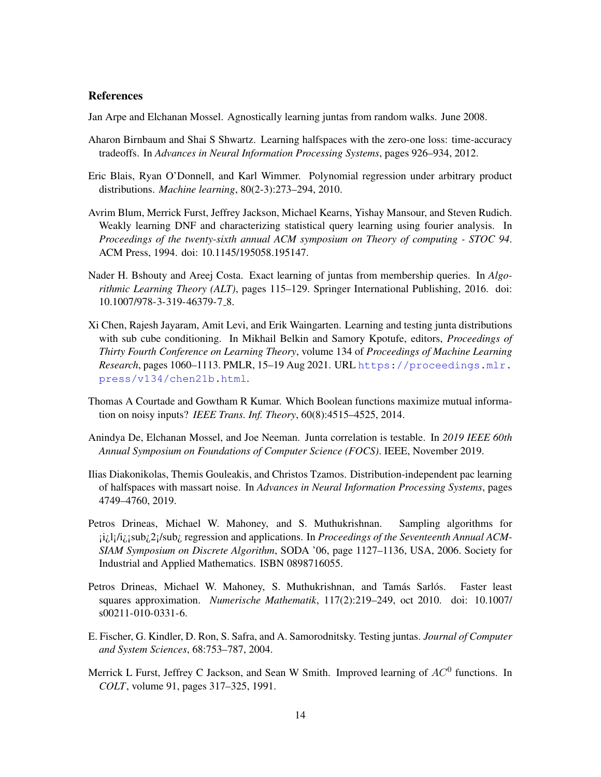## References

<span id="page-13-5"></span>Jan Arpe and Elchanan Mossel. Agnostically learning juntas from random walks. June 2008.

- <span id="page-13-1"></span>Aharon Birnbaum and Shai S Shwartz. Learning halfspaces with the zero-one loss: time-accuracy tradeoffs. In *Advances in Neural Information Processing Systems*, pages 926–934, 2012.
- <span id="page-13-0"></span>Eric Blais, Ryan O'Donnell, and Karl Wimmer. Polynomial regression under arbitrary product distributions. *Machine learning*, 80(2-3):273–294, 2010.
- <span id="page-13-3"></span>Avrim Blum, Merrick Furst, Jeffrey Jackson, Michael Kearns, Yishay Mansour, and Steven Rudich. Weakly learning DNF and characterizing statistical query learning using fourier analysis. In *Proceedings of the twenty-sixth annual ACM symposium on Theory of computing - STOC 94*. ACM Press, 1994. doi: 10.1145/195058.195147.
- <span id="page-13-4"></span>Nader H. Bshouty and Areej Costa. Exact learning of juntas from membership queries. In *Algorithmic Learning Theory (ALT)*, pages 115–129. Springer International Publishing, 2016. doi: 10.1007/978-3-319-46379-7 8.
- <span id="page-13-8"></span>Xi Chen, Rajesh Jayaram, Amit Levi, and Erik Waingarten. Learning and testing junta distributions with sub cube conditioning. In Mikhail Belkin and Samory Kpotufe, editors, *Proceedings of Thirty Fourth Conference on Learning Theory*, volume 134 of *Proceedings of Machine Learning Research*, pages 1060–1113. PMLR, 15–19 Aug 2021. URL [https://proceedings.mlr.](https://proceedings.mlr.press/v134/chen21b.html) [press/v134/chen21b.html](https://proceedings.mlr.press/v134/chen21b.html).
- <span id="page-13-12"></span>Thomas A Courtade and Gowtham R Kumar. Which Boolean functions maximize mutual information on noisy inputs? *IEEE Trans. Inf. Theory*, 60(8):4515–4525, 2014.
- <span id="page-13-7"></span>Anindya De, Elchanan Mossel, and Joe Neeman. Junta correlation is testable. In *2019 IEEE 60th Annual Symposium on Foundations of Computer Science (FOCS)*. IEEE, November 2019.
- <span id="page-13-2"></span>Ilias Diakonikolas, Themis Gouleakis, and Christos Tzamos. Distribution-independent pac learning of halfspaces with massart noise. In *Advances in Neural Information Processing Systems*, pages 4749–4760, 2019.
- <span id="page-13-9"></span>Petros Drineas, Michael W. Mahoney, and S. Muthukrishnan. Sampling algorithms for ¡i¿l¡/i¿¡sub¿2¡/sub¿ regression and applications. In *Proceedings of the Seventeenth Annual ACM-SIAM Symposium on Discrete Algorithm*, SODA '06, page 1127–1136, USA, 2006. Society for Industrial and Applied Mathematics. ISBN 0898716055.
- <span id="page-13-10"></span>Petros Drineas, Michael W. Mahoney, S. Muthukrishnan, and Tamás Sarlós. Faster least squares approximation. *Numerische Mathematik*, 117(2):219–249, oct 2010. doi: 10.1007/ s00211-010-0331-6.
- <span id="page-13-6"></span>E. Fischer, G. Kindler, D. Ron, S. Safra, and A. Samorodnitsky. Testing juntas. *Journal of Computer and System Sciences*, 68:753–787, 2004.
- <span id="page-13-11"></span>Merrick L Furst, Jeffrey C Jackson, and Sean W Smith. Improved learning of  $AC^0$  functions. In *COLT*, volume 91, pages 317–325, 1991.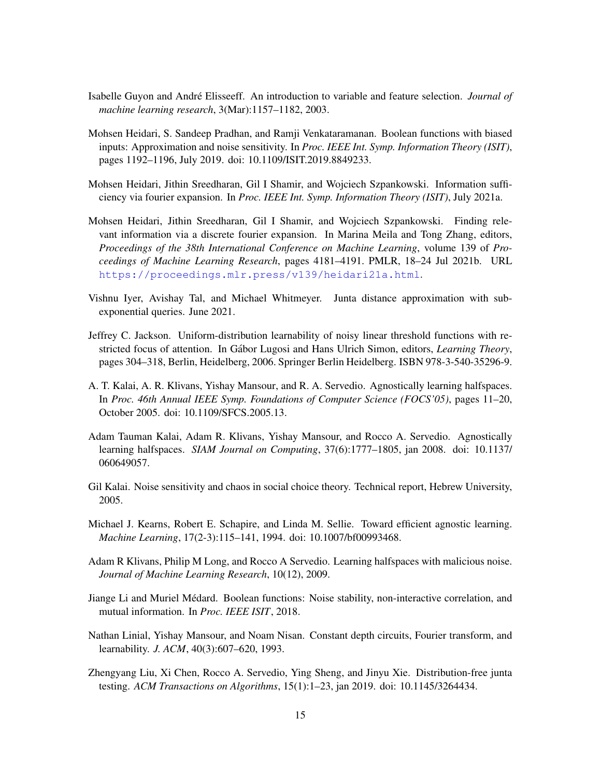- <span id="page-14-6"></span>Isabelle Guyon and André Elisseeff. An introduction to variable and feature selection. *Journal of machine learning research*, 3(Mar):1157–1182, 2003.
- <span id="page-14-12"></span>Mohsen Heidari, S. Sandeep Pradhan, and Ramji Venkataramanan. Boolean functions with biased inputs: Approximation and noise sensitivity. In *Proc. IEEE Int. Symp. Information Theory (ISIT)*, pages 1192–1196, July 2019. doi: 10.1109/ISIT.2019.8849233.
- <span id="page-14-13"></span>Mohsen Heidari, Jithin Sreedharan, Gil I Shamir, and Wojciech Szpankowski. Information sufficiency via fourier expansion. In *Proc. IEEE Int. Symp. Information Theory (ISIT)*, July 2021a.
- <span id="page-14-7"></span>Mohsen Heidari, Jithin Sreedharan, Gil I Shamir, and Wojciech Szpankowski. Finding relevant information via a discrete fourier expansion. In Marina Meila and Tong Zhang, editors, *Proceedings of the 38th International Conference on Machine Learning*, volume 139 of *Proceedings of Machine Learning Research*, pages 4181–4191. PMLR, 18–24 Jul 2021b. URL <https://proceedings.mlr.press/v139/heidari21a.html>.
- <span id="page-14-9"></span>Vishnu Iyer, Avishay Tal, and Michael Whitmeyer. Junta distance approximation with subexponential queries. June 2021.
- <span id="page-14-2"></span>Jeffrey C. Jackson. Uniform-distribution learnability of noisy linear threshold functions with restricted focus of attention. In Gábor Lugosi and Hans Ulrich Simon, editors, *Learning Theory*, pages 304–318, Berlin, Heidelberg, 2006. Springer Berlin Heidelberg. ISBN 978-3-540-35296-9.
- <span id="page-14-3"></span>A. T. Kalai, A. R. Klivans, Yishay Mansour, and R. A. Servedio. Agnostically learning halfspaces. In *Proc. 46th Annual IEEE Symp. Foundations of Computer Science (FOCS'05)*, pages 11–20, October 2005. doi: 10.1109/SFCS.2005.13.
- <span id="page-14-1"></span>Adam Tauman Kalai, Adam R. Klivans, Yishay Mansour, and Rocco A. Servedio. Agnostically learning halfspaces. *SIAM Journal on Computing*, 37(6):1777–1805, jan 2008. doi: 10.1137/ 060649057.
- <span id="page-14-10"></span>Gil Kalai. Noise sensitivity and chaos in social choice theory. Technical report, Hebrew University, 2005.
- <span id="page-14-4"></span>Michael J. Kearns, Robert E. Schapire, and Linda M. Sellie. Toward efficient agnostic learning. *Machine Learning*, 17(2-3):115–141, 1994. doi: 10.1007/bf00993468.
- <span id="page-14-5"></span>Adam R Klivans, Philip M Long, and Rocco A Servedio. Learning halfspaces with malicious noise. *Journal of Machine Learning Research*, 10(12), 2009.
- <span id="page-14-11"></span>Jiange Li and Muriel Medard. Boolean functions: Noise stability, non-interactive correlation, and ´ mutual information. In *Proc. IEEE ISIT*, 2018.
- <span id="page-14-0"></span>Nathan Linial, Yishay Mansour, and Noam Nisan. Constant depth circuits, Fourier transform, and learnability. *J. ACM*, 40(3):607–620, 1993.
- <span id="page-14-8"></span>Zhengyang Liu, Xi Chen, Rocco A. Servedio, Ying Sheng, and Jinyu Xie. Distribution-free junta testing. *ACM Transactions on Algorithms*, 15(1):1–23, jan 2019. doi: 10.1145/3264434.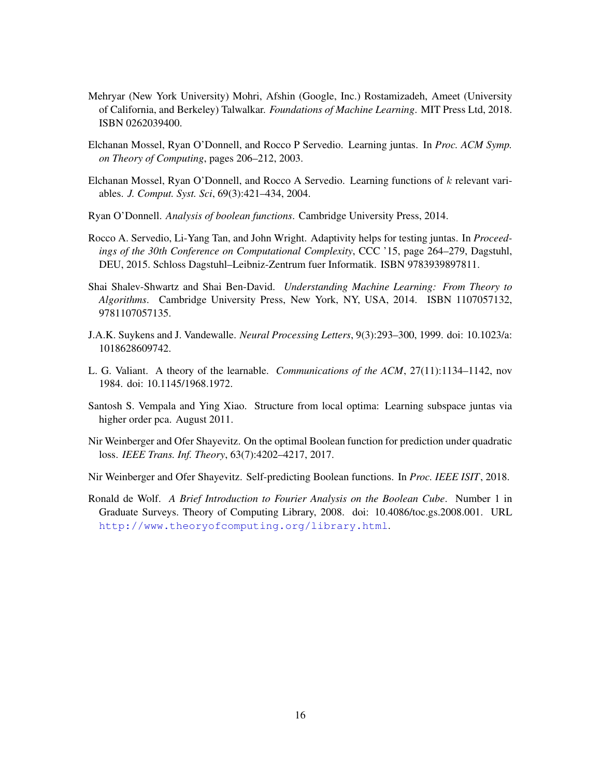- <span id="page-15-11"></span>Mehryar (New York University) Mohri, Afshin (Google, Inc.) Rostamizadeh, Ameet (University of California, and Berkeley) Talwalkar. *Foundations of Machine Learning*. MIT Press Ltd, 2018. ISBN 0262039400.
- <span id="page-15-2"></span>Elchanan Mossel, Ryan O'Donnell, and Rocco P Servedio. Learning juntas. In *Proc. ACM Symp. on Theory of Computing*, pages 206–212, 2003.
- <span id="page-15-1"></span>Elchanan Mossel, Ryan O'Donnell, and Rocco A Servedio. Learning functions of k relevant variables. *J. Comput. Syst. Sci*, 69(3):421–434, 2004.
- <span id="page-15-7"></span>Ryan O'Donnell. *Analysis of boolean functions*. Cambridge University Press, 2014.
- <span id="page-15-4"></span>Rocco A. Servedio, Li-Yang Tan, and John Wright. Adaptivity helps for testing juntas. In *Proceedings of the 30th Conference on Computational Complexity*, CCC '15, page 264–279, Dagstuhl, DEU, 2015. Schloss Dagstuhl–Leibniz-Zentrum fuer Informatik. ISBN 9783939897811.
- <span id="page-15-6"></span>Shai Shalev-Shwartz and Shai Ben-David. *Understanding Machine Learning: From Theory to Algorithms*. Cambridge University Press, New York, NY, USA, 2014. ISBN 1107057132, 9781107057135.
- <span id="page-15-0"></span>J.A.K. Suykens and J. Vandewalle. *Neural Processing Letters*, 9(3):293–300, 1999. doi: 10.1023/a: 1018628609742.
- <span id="page-15-10"></span>L. G. Valiant. A theory of the learnable. *Communications of the ACM*, 27(11):1134–1142, nov 1984. doi: 10.1145/1968.1972.
- <span id="page-15-5"></span>Santosh S. Vempala and Ying Xiao. Structure from local optima: Learning subspace juntas via higher order pca. August 2011.
- <span id="page-15-8"></span>Nir Weinberger and Ofer Shayevitz. On the optimal Boolean function for prediction under quadratic loss. *IEEE Trans. Inf. Theory*, 63(7):4202–4217, 2017.
- <span id="page-15-9"></span>Nir Weinberger and Ofer Shayevitz. Self-predicting Boolean functions. In *Proc. IEEE ISIT*, 2018.
- <span id="page-15-3"></span>Ronald de Wolf. *A Brief Introduction to Fourier Analysis on the Boolean Cube*. Number 1 in Graduate Surveys. Theory of Computing Library, 2008. doi: 10.4086/toc.gs.2008.001. URL <http://www.theoryofcomputing.org/library.html>.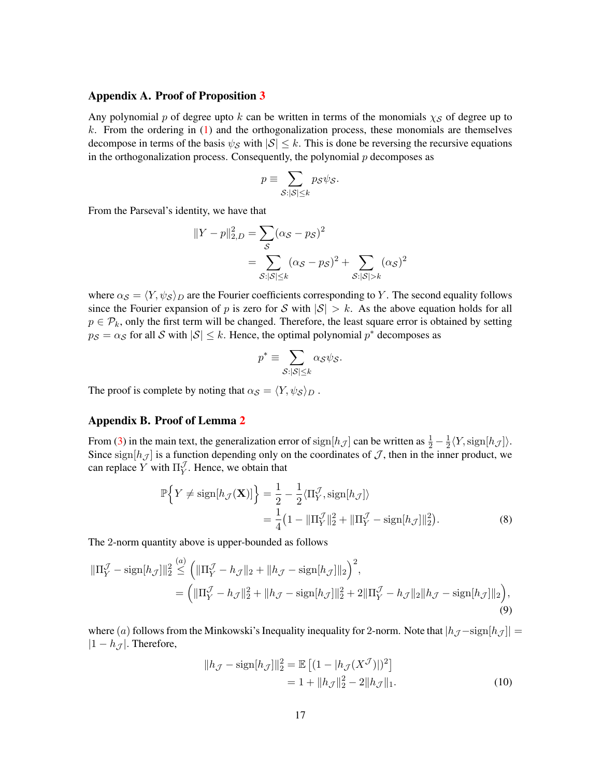## Appendix A. Proof of Proposition [3](#page-6-3)

Any polynomial p of degree upto k can be written in terms of the monomials  $\chi_{\mathcal{S}}$  of degree up to  $k$ . From the ordering in  $(1)$  and the orthogonalization process, these monomials are themselves decompose in terms of the basis  $\psi_{\mathcal{S}}$  with  $|\mathcal{S}| \leq k$ . This is done be reversing the recursive equations in the orthogonalization process. Consequently, the polynomial  $p$  decomposes as

$$
p \equiv \sum_{\mathcal{S}:|\mathcal{S}| \leq k} p_{\mathcal{S}} \psi_{\mathcal{S}}.
$$

From the Parseval's identity, we have that

$$
||Y - p||_{2,D}^{2} = \sum_{S} (\alpha_{S} - p_{S})^{2}
$$
  
= 
$$
\sum_{S:|S| \le k} (\alpha_{S} - p_{S})^{2} + \sum_{S:|S| > k} (\alpha_{S})^{2}
$$

where  $\alpha_{\mathcal{S}} = \langle Y, \psi_{\mathcal{S}} \rangle_D$  are the Fourier coefficients corresponding to Y. The second equality follows since the Fourier expansion of p is zero for S with  $|\mathcal{S}| > k$ . As the above equation holds for all  $p \in \mathcal{P}_k$ , only the first term will be changed. Therefore, the least square error is obtained by setting  $p_S = \alpha_S$  for all S with  $|S| \leq k$ . Hence, the optimal polynomial  $p^*$  decomposes as

<span id="page-16-0"></span>
$$
p^* \equiv \sum_{\mathcal{S}:|\mathcal{S}| \leq k} \alpha_{\mathcal{S}} \psi_{\mathcal{S}}.
$$

The proof is complete by noting that  $\alpha_{\mathcal{S}} = \langle Y, \psi_{\mathcal{S}} \rangle_D$ .

### Appendix B. Proof of Lemma [2](#page-9-0)

From [\(3\)](#page-8-3) in the main text, the generalization error of  $\text{sign}[h_{\mathcal{J}}]$  can be written as  $\frac{1}{2} - \frac{1}{2}$  $\frac{1}{2}\langle Y, \text{sign}[h_{\mathcal{J}}]\rangle.$ Since sign $[h_\mathcal{J}]$  is a function depending only on the coordinates of  $\mathcal{J}$ , then in the inner product, we can replace Y with  $\Pi_Y^{\mathcal{J}}$  $Y<sub>Y</sub>$ . Hence, we obtain that

$$
\mathbb{P}\Big\{Y \neq \text{sign}[h_{\mathcal{J}}(\mathbf{X})]\Big\} = \frac{1}{2} - \frac{1}{2}\langle \Pi_Y^{\mathcal{J}}, \text{sign}[h_{\mathcal{J}}]\rangle
$$
  
=\frac{1}{4}\left(1 - \|\Pi\_Y^{\mathcal{J}}\|\_2^2 + \|\Pi\_Y^{\mathcal{J}} - \text{sign}[h\_{\mathcal{J}}]\|\_2^2\right). (8)

The 2-norm quantity above is upper-bounded as follows

$$
\|\Pi_Y^{\mathcal{J}} - \operatorname{sign}[h_{\mathcal{J}}]\|_2^2 \stackrel{(a)}{\leq} \left(\|\Pi_Y^{\mathcal{J}} - h_{\mathcal{J}}\|_2 + \|h_{\mathcal{J}} - \operatorname{sign}[h_{\mathcal{J}}]\|_2\right)^2,
$$
  
= 
$$
\left(\|\Pi_Y^{\mathcal{J}} - h_{\mathcal{J}}\|_2^2 + \|h_{\mathcal{J}} - \operatorname{sign}[h_{\mathcal{J}}]\|_2^2 + 2\|\Pi_Y^{\mathcal{J}} - h_{\mathcal{J}}\|_2\|h_{\mathcal{J}} - \operatorname{sign}[h_{\mathcal{J}}]\|_2\right),
$$
(9)

where (a) follows from the Minkowski's Inequality inequality for 2-norm. Note that  $|h_{\mathcal{J}} - sign[h_{\mathcal{J}}]| =$  $|1 - h_{\mathcal{J}}|$ . Therefore,

<span id="page-16-1"></span>
$$
||h_{\mathcal{J}} - \text{sign}[h_{\mathcal{J}}]||_2^2 = \mathbb{E}\left[ (1 - |h_{\mathcal{J}}(X^{\mathcal{J}})|)^2 \right]
$$
  
= 1 + ||h\_{\mathcal{J}}||\_2^2 - 2||h\_{\mathcal{J}}||\_1. (10)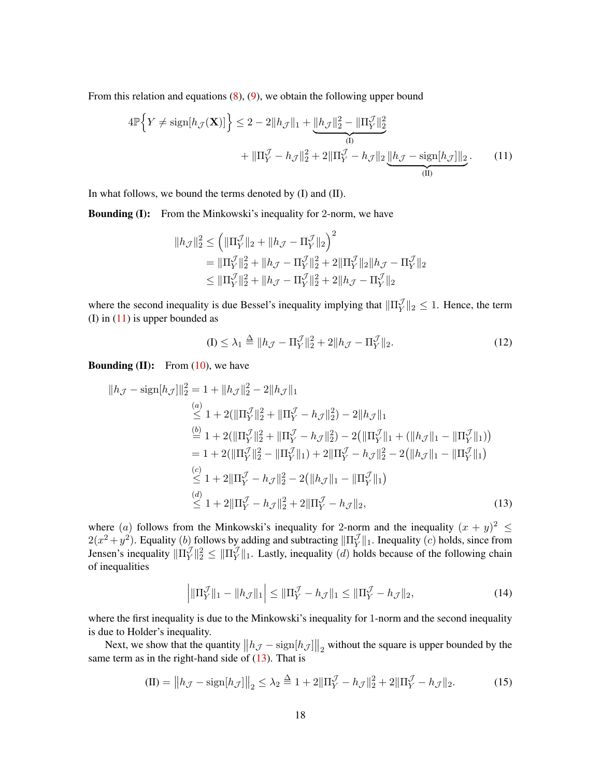From this relation and equations  $(8)$ ,  $(9)$ , we obtain the following upper bound

$$
4\mathbb{P}\Big\{Y \neq \text{sign}[h_{\mathcal{J}}(\mathbf{X})]\Big\} \leq 2 - 2\|h_{\mathcal{J}}\|_1 + \underbrace{\|h_{\mathcal{J}}\|_2^2 - \|\Pi_Y^{\mathcal{J}}\|_2^2}_{(I)} + \|\Pi_Y^{\mathcal{J}} - h_{\mathcal{J}}\|_2^2 + 2\|\Pi_Y^{\mathcal{J}} - h_{\mathcal{J}}\|_2 \underbrace{\|h_{\mathcal{J}} - \text{sign}[h_{\mathcal{J}}]\|_2}_{(II)}.
$$
 (11)

In what follows, we bound the terms denoted by (I) and (II).

**Bounding (I):** From the Minkowski's inequality for 2-norm, we have

<span id="page-17-0"></span>
$$
\begin{aligned} \|h_{\mathcal{J}}\|_2^2 &\leq \left(\|\Pi_Y^{\mathcal{J}}\|_2 + \|h_{\mathcal{J}} - \Pi_Y^{\mathcal{J}}\|_2\right)^2 \\ &= \|\Pi_Y^{\mathcal{J}}\|_2^2 + \|h_{\mathcal{J}} - \Pi_Y^{\mathcal{J}}\|_2^2 + 2\|\Pi_Y^{\mathcal{J}}\|_2 \|h_{\mathcal{J}} - \Pi_Y^{\mathcal{J}}\|_2 \\ &\leq \|\Pi_Y^{\mathcal{J}}\|_2^2 + \|h_{\mathcal{J}} - \Pi_Y^{\mathcal{J}}\|_2^2 + 2\|h_{\mathcal{J}} - \Pi_Y^{\mathcal{J}}\|_2 \end{aligned}
$$

where the second inequality is due Bessel's inequality implying that  $\|\Pi_{Y}^{\mathcal{J}}\|$  $\frac{\partial}{\partial Y}$ ||2  $\leq$  1. Hence, the term (I) in  $(11)$  is upper bounded as

<span id="page-17-1"></span>
$$
(I) \le \lambda_1 \triangleq ||h_{\mathcal{J}} - \Pi_Y^{\mathcal{J}}||_2^2 + 2||h_{\mathcal{J}} - \Pi_Y^{\mathcal{J}}||_2. \tag{12}
$$

**Bounding (II):** From  $(10)$ , we have

$$
||h_{\mathcal{J}} - \text{sign}[h_{\mathcal{J}}]||_2^2 = 1 + ||h_{\mathcal{J}}||_2^2 - 2||h_{\mathcal{J}}||_1
$$
  
\n
$$
\stackrel{(a)}{\leq} 1 + 2(||\Pi_Y^{\mathcal{J}}||_2^2 + ||\Pi_Y^{\mathcal{J}} - h_{\mathcal{J}}||_2^2) - 2||h_{\mathcal{J}}||_1
$$
  
\n
$$
\stackrel{(b)}{=} 1 + 2(||\Pi_Y^{\mathcal{J}}||_2^2 + ||\Pi_Y^{\mathcal{J}} - h_{\mathcal{J}}||_2^2) - 2(||\Pi_Y^{\mathcal{J}}||_1 + (||h_{\mathcal{J}}||_1 - ||\Pi_Y^{\mathcal{J}}||_1))
$$
  
\n
$$
= 1 + 2(||\Pi_Y^{\mathcal{J}}||_2^2 - ||\Pi_Y^{\mathcal{J}}||_1) + 2||\Pi_Y^{\mathcal{J}} - h_{\mathcal{J}}||_2^2 - 2(||h_{\mathcal{J}}||_1 - ||\Pi_Y^{\mathcal{J}}||_1)
$$
  
\n
$$
\stackrel{(c)}{\leq} 1 + 2||\Pi_Y^{\mathcal{J}} - h_{\mathcal{J}}||_2^2 - 2(||h_{\mathcal{J}}||_1 - ||\Pi_Y^{\mathcal{J}}||_1)
$$
  
\n
$$
\stackrel{(d)}{\leq} 1 + 2||\Pi_Y^{\mathcal{J}} - h_{\mathcal{J}}||_2^2 + 2||\Pi_Y^{\mathcal{J}} - h_{\mathcal{J}}||_2,
$$
\n(13)

where (a) follows from the Minkowski's inequality for 2-norm and the inequality  $(x + y)^2 \leq$  $2(x^2+y^2)$ . Equality (b) follows by adding and subtracting  $\|\Pi_V^{\mathcal{J}}\|$  $\mathcal{Y}_{Y}^{\mathcal{Y}}\|_{1}$ . Inequality (*c*) holds, since from Jensen's inequality  $\|\Pi_V^{\mathcal{J}}\|$  $\mathcal{J}_Y^{\mathcal{J}} \|_2^2 \leq \| \Pi_Y^{\mathcal{J}} \|_2^2$  $\mathcal{Y}_{Y}^{\mathcal{Y}}\|_1$ . Lastly, inequality (*d*) holds because of the following chain of inequalities

<span id="page-17-3"></span><span id="page-17-2"></span>
$$
\left| \|\Pi_Y^{\mathcal{J}}\|_1 - \|h_{\mathcal{J}}\|_1 \right| \le \|\Pi_Y^{\mathcal{J}} - h_{\mathcal{J}}\|_1 \le \|\Pi_Y^{\mathcal{J}} - h_{\mathcal{J}}\|_2,\tag{14}
$$

where the first inequality is due to the Minkowski's inequality for 1-norm and the second inequality is due to Holder's inequality.

Next, we show that the quantity  $||h_{\mathcal{J}} - \text{sign}[h_{\mathcal{J}}]||_2$  without the square is upper bounded by the same term as in the right-hand side of  $(13)$ . That is

$$
(II) = \|h_{\mathcal{J}} - \text{sign}[h_{\mathcal{J}}]\|_2 \le \lambda_2 \stackrel{\Delta}{=} 1 + 2\|\Pi_Y^{\mathcal{J}} - h_{\mathcal{J}}\|_2^2 + 2\|\Pi_Y^{\mathcal{J}} - h_{\mathcal{J}}\|_2. \tag{15}
$$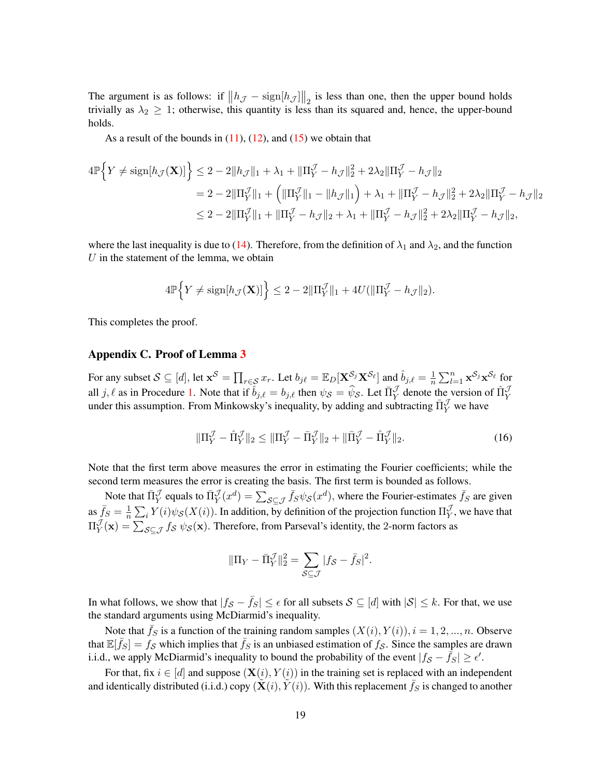The argument is as follows: if  $||h_{\mathcal{J}} - \text{sign}[h_{\mathcal{J}}]||_2$  is less than one, then the upper bound holds trivially as  $\lambda_2 \geq 1$ ; otherwise, this quantity is less than its squared and, hence, the upper-bound holds.

As a result of the bounds in  $(11)$ ,  $(12)$ , and  $(15)$  we obtain that

$$
4\mathbb{P}\Big\{Y \neq \text{sign}[h_{\mathcal{J}}(\mathbf{X})]\Big\} \leq 2 - 2\|h_{\mathcal{J}}\|_{1} + \lambda_{1} + \|\Pi_{Y}^{\mathcal{J}} - h_{\mathcal{J}}\|_{2}^{2} + 2\lambda_{2}\|\Pi_{Y}^{\mathcal{J}} - h_{\mathcal{J}}\|_{2}
$$
  
\n
$$
= 2 - 2\|\Pi_{Y}^{\mathcal{J}}\|_{1} + \left(\|\Pi_{Y}^{\mathcal{J}}\|_{1} - \|h_{\mathcal{J}}\|_{1}\right) + \lambda_{1} + \|\Pi_{Y}^{\mathcal{J}} - h_{\mathcal{J}}\|_{2}^{2} + 2\lambda_{2}\|\Pi_{Y}^{\mathcal{J}} - h_{\mathcal{J}}\|_{2}
$$
  
\n
$$
\leq 2 - 2\|\Pi_{Y}^{\mathcal{J}}\|_{1} + \|\Pi_{Y}^{\mathcal{J}} - h_{\mathcal{J}}\|_{2} + \lambda_{1} + \|\Pi_{Y}^{\mathcal{J}} - h_{\mathcal{J}}\|_{2}^{2} + 2\lambda_{2}\|\Pi_{Y}^{\mathcal{J}} - h_{\mathcal{J}}\|_{2},
$$

where the last inequality is due to [\(14\)](#page-17-3). Therefore, from the definition of  $\lambda_1$  and  $\lambda_2$ , and the function  $U$  in the statement of the lemma, we obtain

$$
4\mathbb{P}\Big\{Y \neq \text{sign}[h_{\mathcal{J}}(\mathbf{X})]\Big\} \leq 2 - 2\|\Pi_Y^{\mathcal{J}}\|_1 + 4U(\|\Pi_Y^{\mathcal{J}} - h_{\mathcal{J}}\|_2).
$$

This completes the proof.

#### Appendix C. Proof of Lemma [3](#page-10-1)

For any subset  $S \subseteq [d]$ , let  $\mathbf{x}^S = \prod_{r \in S} x_r$ . Let  $b_{j\ell} = \mathbb{E}_D[\mathbf{X}^{\mathcal{S}_j} \mathbf{X}^{\mathcal{S}_\ell}]$  and  $\hat{b}_{j,\ell} = \frac{1}{n}$  $\frac{1}{n} \sum_{l=1}^{n} \mathbf{x}^{\mathcal{S}_j} \mathbf{x}^{\mathcal{S}_{\ell}}$  for all j,  $\ell$  as in Procedure [1.](#page-7-1) Note that if  $\hat{b}_{j,\ell} = b_{j,\ell}$  then  $\psi_{\mathcal{S}} = \hat{\psi}_{\mathcal{S}}$ . Let  $\Pi_Y^{\mathcal{J}}$  denote the version of  $\Pi_Y^{\mathcal{J}}$ under this assumption. From Minkowsky's inequality, by adding and subtracting  $\bar{\Pi}_{Y}^{\mathcal{J}}$  we have

$$
\|\Pi_Y^{\mathcal{J}} - \hat{\Pi}_Y^{\mathcal{J}}\|_2 \le \|\Pi_Y^{\mathcal{J}} - \bar{\Pi}_Y^{\mathcal{J}}\|_2 + \|\bar{\Pi}_Y^{\mathcal{J}} - \hat{\Pi}_Y^{\mathcal{J}}\|_2. \tag{16}
$$

Note that the first term above measures the error in estimating the Fourier coefficients; while the second term measures the error is creating the basis. The first term is bounded as follows.

Note that  $\bar{\Pi}^{\mathcal{J}}_Y$  equals to  $\bar{\Pi}^{\mathcal{J}}_Y(x^d) = \sum_{\mathcal{S} \subseteq \mathcal{J}} \bar{f}_S \psi_{\mathcal{S}}(x^d)$ , where the Fourier-estimates  $\bar{f}_S$  are given as  $\bar{f}_S = \frac{1}{n}$  $\frac{1}{n} \sum_i Y(i) \psi_{\mathcal{S}}(X(i))$ . In addition, by definition of the projection function  $\Pi^{\mathcal{J}}_Y$  $Y<sub>Y</sub>$ , we have that  $\Pi^{\mathcal J}_{\mathbf V}$  $\frac{\partial}{\partial Y}(\mathbf{x}) = \sum_{\mathcal{S} \subseteq \mathcal{J}} f_{\mathcal{S}} \psi_{\mathcal{S}}(\mathbf{x})$ . Therefore, from Parseval's identity, the 2-norm factors as

<span id="page-18-0"></span>
$$
\|\Pi_Y - \bar{\Pi}_Y^{\mathcal{J}}\|_2^2 = \sum_{\mathcal{S} \subseteq \mathcal{J}} |f_{\mathcal{S}} - \bar{f}_{\mathcal{S}}|^2.
$$

In what follows, we show that  $|f_S - \bar{f}_S| \leq \epsilon$  for all subsets  $S \subseteq [d]$  with  $|S| \leq k$ . For that, we use the standard arguments using McDiarmid's inequality.

Note that  $\bar{f}_S$  is a function of the training random samples  $(X(i), Y(i)), i = 1, 2, ..., n$ . Observe that  $\mathbb{E}[\bar{f}_S] = f_{\mathcal{S}}$  which implies that  $\bar{f}_S$  is an unbiased estimation of  $f_{\mathcal{S}}$ . Since the samples are drawn i.i.d., we apply McDiarmid's inequality to bound the probability of the event  $|f_{\mathcal{S}} - \bar{f}_{\mathcal{S}}| \ge \epsilon'$ .

For that, fix  $i \in [d]$  and suppose  $(\mathbf{X}(i), Y(i))$  in the training set is replaced with an independent and identically distributed (i.i.d.) copy  $(\tilde{\mathbf{X}}(i), \tilde{Y}(i))$ . With this replacement  $\bar{f}_S$  is changed to another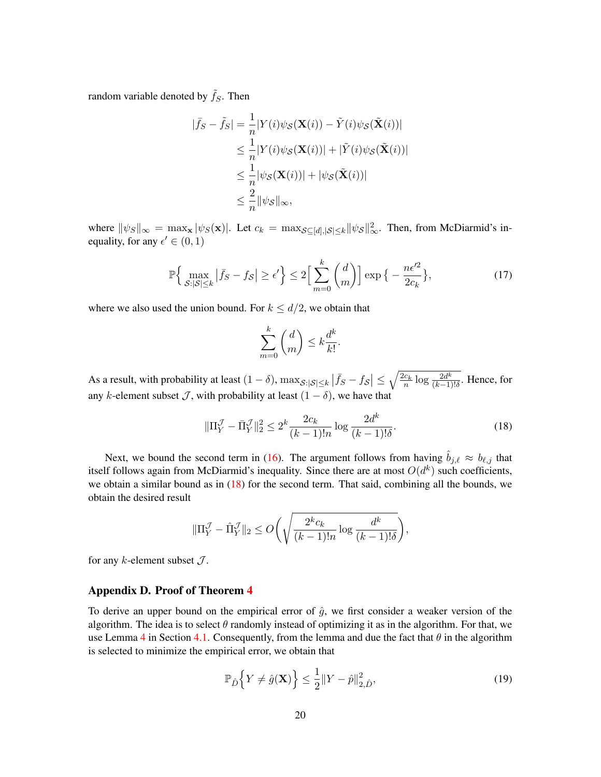random variable denoted by  $\tilde{f}_S$ . Then

$$
|\bar{f}_S - \tilde{f}_S| = \frac{1}{n} |Y(i)\psi_{\mathcal{S}}(\mathbf{X}(i)) - \tilde{Y}(i)\psi_{\mathcal{S}}(\tilde{\mathbf{X}}(i))|
$$
  
\n
$$
\leq \frac{1}{n} |Y(i)\psi_{\mathcal{S}}(\mathbf{X}(i))| + |\tilde{Y}(i)\psi_{\mathcal{S}}(\tilde{\mathbf{X}}(i))|
$$
  
\n
$$
\leq \frac{1}{n} |\psi_{\mathcal{S}}(\mathbf{X}(i))| + |\psi_{\mathcal{S}}(\tilde{\mathbf{X}}(i))|
$$
  
\n
$$
\leq \frac{2}{n} ||\psi_{\mathcal{S}}||_{\infty},
$$

where  $\|\psi_S\|_{\infty} = \max_{\mathbf{x}} |\psi_S(\mathbf{x})|$ . Let  $c_k = \max_{S \subseteq [d], |\mathcal{S}| \le k} ||\psi_S||_{\infty}^2$ . Then, from McDiarmid's inequality, for any  $\epsilon' \in (0, 1)$ 

$$
\mathbb{P}\Big\{\max_{\mathcal{S}:|\mathcal{S}|\leq k}|\bar{f}_S - f_{\mathcal{S}}| \geq \epsilon'\Big\} \leq 2\Big[\sum_{m=0}^k \binom{d}{m}\Big] \exp\big\{-\frac{n\epsilon'^2}{2c_k}\big\},\tag{17}
$$

where we also used the union bound. For  $k \le d/2$ , we obtain that

<span id="page-19-0"></span>
$$
\sum_{m=0}^{k} \binom{d}{m} \le k \frac{d^k}{k!}.
$$

As a result, with probability at least  $(1-\delta), \max_{\mathcal{S}:|\mathcal{S}|\leq k} \left|\bar{f}_S - f_{\mathcal{S}}\right| \leq \sqrt{\frac{2c_k}{n} \log \frac{2d^k}{(k-1)}}$  $\frac{2d^{\kappa}}{(k-1)!\delta}$ . Hence, for any k-element subset  $\mathcal{J}$ , with probability at least  $(1 - \delta)$ , we have that

$$
\|\Pi_Y^{\mathcal{J}} - \bar{\Pi}_Y^{\mathcal{J}}\|_2^2 \le 2^k \frac{2c_k}{(k-1)!n} \log \frac{2d^k}{(k-1)!\delta}.\tag{18}
$$

Next, we bound the second term in [\(16\)](#page-18-0). The argument follows from having  $\hat{b}_{j,\ell} \approx b_{\ell,j}$  that itself follows again from McDiarmid's inequality. Since there are at most  $O(d^k)$  such coefficients, we obtain a similar bound as in  $(18)$  for the second term. That said, combining all the bounds, we obtain the desired result

$$
\|\Pi_Y^{\mathcal{J}} - \hat{\Pi}_Y^{\mathcal{J}}\|_2 \le O\bigg(\sqrt{\frac{2^k c_k}{(k-1)!n} \log \frac{d^k}{(k-1)!\delta}}\bigg),\,
$$

for any  $k$ -element subset  $\mathcal{J}$ .

#### Appendix D. Proof of Theorem [4](#page-12-0)

To derive an upper bound on the empirical error of  $\hat{q}$ , we first consider a weaker version of the algorithm. The idea is to select  $\theta$  randomly instead of optimizing it as in the algorithm. For that, we use Lemma [4](#page-12-1) in Section [4.1.](#page-11-1) Consequently, from the lemma and due the fact that  $\theta$  in the algorithm is selected to minimize the empirical error, we obtain that

<span id="page-19-1"></span>
$$
\mathbb{P}_{\hat{D}}\Big\{Y \neq \hat{g}(\mathbf{X})\Big\} \le \frac{1}{2} \|Y - \hat{p}\|_{2,\hat{D}}^2,\tag{19}
$$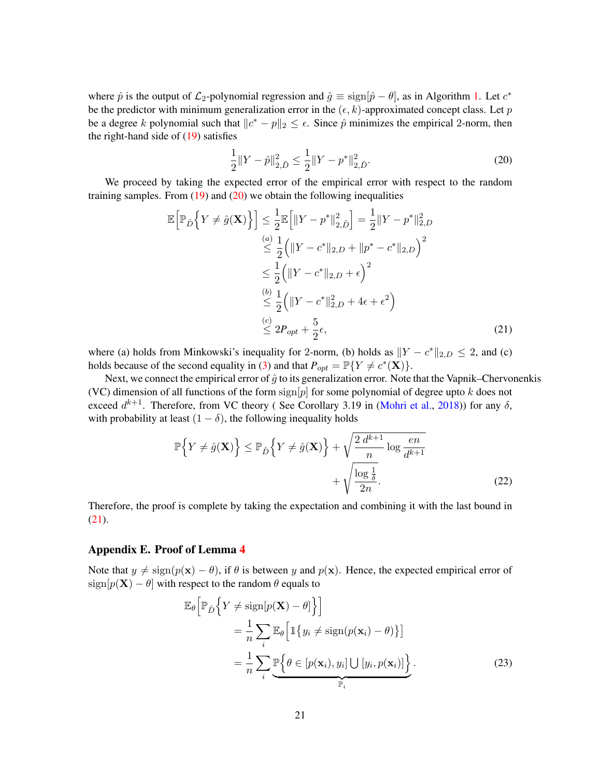where  $\hat{p}$  is the output of  $\mathcal{L}_2$ -polynomial regression and  $\hat{g} \equiv \text{sign}[\hat{p} - \theta]$ , as in Algorithm [1.](#page-5-0) Let  $c^*$ be the predictor with minimum generalization error in the  $(\epsilon, k)$ -approximated concept class. Let p be a degree k polynomial such that  $||c^* - p||_2 \leq \epsilon$ . Since  $\hat{p}$  minimizes the empirical 2-norm, then the right-hand side of [\(19\)](#page-19-1) satisfies

<span id="page-20-1"></span>
$$
\frac{1}{2}||Y - \hat{p}||_{2,\hat{D}}^2 \le \frac{1}{2}||Y - p^*||_{2,\hat{D}}^2.
$$
\n(20)

We proceed by taking the expected error of the empirical error with respect to the random training samples. From  $(19)$  and  $(20)$  we obtain the following inequalities

$$
\mathbb{E}\left[\mathbb{P}_{\hat{D}}\left\{Y \neq \hat{g}(\mathbf{X})\right\}\right] \leq \frac{1}{2}\mathbb{E}\left[\|Y - p^*\|_{2,\hat{D}}^2\right] = \frac{1}{2}\|Y - p^*\|_{2,D}^2
$$
  
\n
$$
\stackrel{(a)}{\leq} \frac{1}{2}\left(\|Y - c^*\|_{2,D} + \|p^* - c^*\|_{2,D}\right)^2
$$
  
\n
$$
\leq \frac{1}{2}\left(\|Y - c^*\|_{2,D} + \epsilon\right)^2
$$
  
\n
$$
\stackrel{(b)}{\leq} \frac{1}{2}\left(\|Y - c^*\|_{2,D}^2 + 4\epsilon + \epsilon^2\right)
$$
  
\n
$$
\stackrel{(c)}{\leq} 2P_{opt} + \frac{5}{2}\epsilon,
$$
\n(21)

where (a) holds from Minkowski's inequality for 2-norm, (b) holds as  $||Y - c^*||_{2,D} \le 2$ , and (c) holds because of the second equality in [\(3\)](#page-8-3) and that  $P_{opt} = \mathbb{P}{Y \neq c^*(\mathbf{X})}.$ 

Next, we connect the empirical error of  $\hat{q}$  to its generalization error. Note that the Vapnik–Chervonenkis (VC) dimension of all functions of the form  $\text{sign}[p]$  for some polynomial of degree upto k does not exceed  $d^{k+1}$ . Therefore, from VC theory (See Corollary 3.19 in [\(Mohri et al.,](#page-15-11) [2018\)](#page-15-11)) for any  $\delta$ , with probability at least  $(1 - \delta)$ , the following inequality holds

$$
\mathbb{P}\Big\{Y \neq \hat{g}(\mathbf{X})\Big\} \leq \mathbb{P}_{\hat{D}}\Big\{Y \neq \hat{g}(\mathbf{X})\Big\} + \sqrt{\frac{2 \, d^{k+1}}{n} \log \frac{en}{d^{k+1}}}
$$

$$
+ \sqrt{\frac{\log \frac{1}{\delta}}{2n}}.
$$
(22)

Therefore, the proof is complete by taking the expectation and combining it with the last bound in [\(21\)](#page-20-1).

## <span id="page-20-0"></span>Appendix E. Proof of Lemma [4](#page-12-1)

Note that  $y \neq \text{sign}(p(\mathbf{x}) - \theta)$ , if  $\theta$  is between y and  $p(\mathbf{x})$ . Hence, the expected empirical error of  $sign[p(X) - \theta]$  with respect to the random  $\theta$  equals to

$$
\mathbb{E}_{\theta}\left[\mathbb{P}_{\hat{D}}\left\{Y \neq \text{sign}[p(\mathbf{X}) - \theta]\right\}\right]
$$
\n
$$
= \frac{1}{n} \sum_{i} \mathbb{E}_{\theta}\left[\mathbb{1}\left\{y_{i} \neq \text{sign}(p(\mathbf{x}_{i}) - \theta)\right\}\right]
$$
\n
$$
= \frac{1}{n} \sum_{i} \underbrace{\mathbb{P}\left\{\theta \in [p(\mathbf{x}_{i}), y_{i}] \cup [y_{i}, p(\mathbf{x}_{i})]\right\}}_{\mathbb{P}_{i}}.
$$
\n(23)